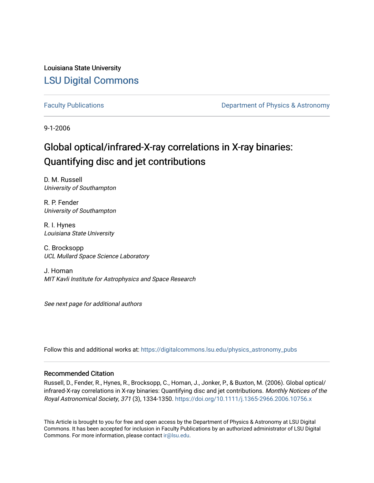Louisiana State University [LSU Digital Commons](https://digitalcommons.lsu.edu/)

[Faculty Publications](https://digitalcommons.lsu.edu/physics_astronomy_pubs) **Exercise 2 and Table 2 and Table 2 and Table 2 and Table 2 and Table 2 and Table 2 and Table 2 and Table 2 and Table 2 and Table 2 and Table 2 and Table 2 and Table 2 and Table 2 and Table 2 and Table** 

9-1-2006

# Global optical/infrared-X-ray correlations in X-ray binaries: Quantifying disc and jet contributions

D. M. Russell University of Southampton

R. P. Fender University of Southampton

R. I. Hynes Louisiana State University

C. Brocksopp UCL Mullard Space Science Laboratory

J. Homan MIT Kavli Institute for Astrophysics and Space Research

See next page for additional authors

Follow this and additional works at: [https://digitalcommons.lsu.edu/physics\\_astronomy\\_pubs](https://digitalcommons.lsu.edu/physics_astronomy_pubs?utm_source=digitalcommons.lsu.edu%2Fphysics_astronomy_pubs%2F2621&utm_medium=PDF&utm_campaign=PDFCoverPages) 

#### Recommended Citation

Russell, D., Fender, R., Hynes, R., Brocksopp, C., Homan, J., Jonker, P., & Buxton, M. (2006). Global optical/ infrared-X-ray correlations in X-ray binaries: Quantifying disc and jet contributions. Monthly Notices of the Royal Astronomical Society, 371 (3), 1334-1350. <https://doi.org/10.1111/j.1365-2966.2006.10756.x>

This Article is brought to you for free and open access by the Department of Physics & Astronomy at LSU Digital Commons. It has been accepted for inclusion in Faculty Publications by an authorized administrator of LSU Digital Commons. For more information, please contact [ir@lsu.edu](mailto:ir@lsu.edu).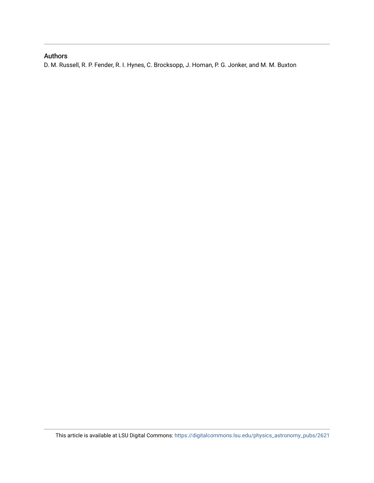### Authors

D. M. Russell, R. P. Fender, R. I. Hynes, C. Brocksopp, J. Homan, P. G. Jonker, and M. M. Buxton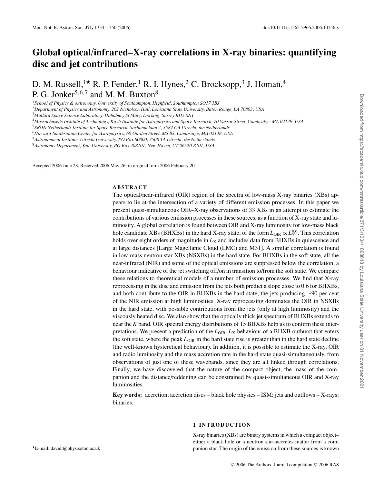## **Global optical/infrared–X-ray correlations in X-ray binaries: quantifying disc and jet contributions**

D. M. Russell,<sup>1\*</sup> R. P. Fender,<sup>1</sup> R. I. Hynes,<sup>2</sup> C. Brocksopp,<sup>3</sup> J. Homan,<sup>4</sup> P. G. Jonker<sup>5,6,7</sup> and M. M. Buxton<sup>8</sup>

<sup>1</sup>*School of Physics & Astronomy, University of Southampton, Highfield, Southampton SO17 1BJ*

<sup>2</sup>*Department of Physics and Astronomy, 202 Nicholson Hall, Louisiana State University, Baton Rouge, LA 70803, USA*

<sup>3</sup>*Mullard Space Science Laboratory, Holmbury St Mary, Dorking, Surrey RH5 6NT*

<sup>4</sup>*Massachusetts Institute of Technology, Kavli Institute for Astrophysics and Space Research, 70 Vassar Street, Cambridge, MA 02139, USA*

<sup>5</sup>*SRON Netherlands Institute for Space Research, Sorbonnelaan 2, 3584 CA Utrecht, the Netherlands*

<sup>6</sup>*Harvard-Smithsonian Center for Astrophysics, 60 Garden Street, MS 83, Cambridge, MA 02138, USA*

<sup>7</sup>*Astronomical Institute, Utrecht University, PO Box 80000, 3508 TA Utrecht, the Netherlands*

<sup>8</sup>*Astronomy Department, Yale University, PO Box 208101, New Haven, CT 06520-8101, USA*

Accepted 2006 June 28. Received 2006 May 26; in original form 2006 February 20

#### **ABSTRACT**

The optical/near-infrared (OIR) region of the spectra of low-mass X-ray binaries (XBs) appears to lie at the intersection of a variety of different emission processes. In this paper we present quasi-simultaneous OIR–X-ray observations of 33 XBs in an attempt to estimate the contributions of various emission processes in these sources, as a function of X-ray state and luminosity. A global correlation is found between OIR and X-ray luminosity for low-mass black hole candidate XBs (BHXBs) in the hard X-ray state, of the form  $L_{\rm OIR} \propto L_{\rm X}^{0.6}$ . This correlation holds over eight orders of magnitude in  $L_X$  and includes data from BHXBs in quiescence and at large distances [Large Magellanic Cloud (LMC) and M31]. A similar correlation is found in low-mass neutron star XBs (NSXBs) in the hard state. For BHXBs in the soft state, all the near-infrared (NIR) and some of the optical emissions are suppressed below the correlation, a behaviour indicative of the jet switching off/on in transition to/from the soft state. We compare these relations to theoretical models of a number of emission processes. We find that X-ray reprocessing in the disc and emission from the jets both predict a slope close to 0.6 for BHXBs, and both contribute to the OIR in BHXBs in the hard state, the jets producing ∼90 per cent of the NIR emission at high luminosities. X-ray reprocessing dominates the OIR in NSXBs in the hard state, with possible contributions from the jets (only at high luminosity) and the viscously heated disc. We also show that the optically thick jet spectrum of BHXBs extends to near the *K* band. OIR spectral energy distributions of 15 BHXBs help us to confirm these interpretations. We present a prediction of the  $L_{\text{OR}}-L_X$  behaviour of a BHXB outburst that enters the soft state, where the peak  $L_{\text{OIR}}$  in the hard state rise is greater than in the hard state decline (the well-known hysteretical behaviour). In addition, it is possible to estimate the X-ray, OIR and radio luminosity and the mass accretion rate in the hard state quasi-simultaneously, from observations of just one of these wavebands, since they are all linked through correlations. Finally, we have discovered that the nature of the compact object, the mass of the companion and the distance/reddening can be constrained by quasi-simultaneous OIR and X-ray luminosities.

**Key words:** accretion, accretion discs – black hole physics – ISM: jets and outflows – X-rays: binaries.

#### **1 INTRODUCTION**

X-ray binaries (XBs) are binary systems in which a compact object– either a black hole or a neutron star–accretes matter from a companion star. The origin of the emission from these sources is known

-E-mail: davidr@phys.soton.ac.uk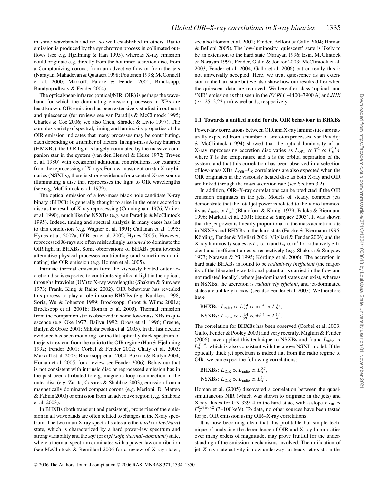in some wavebands and not so well established in others. Radio emission is produced by the synchrotron process in collimated outflows (see e.g. Hjellming & Han 1995), whereas X-ray emission could originate e.g. directly from the hot inner accretion disc, from a Comptonizing corona, from an advective flow or from the jets (Narayan, Mahadevan & Quataert 1998; Poutanen 1998; McConnell et al. 2000; Markoff, Falcke & Fender 2001; Brocksopp, Bandyopadhyay & Fender 2004).

The optical/near-infrared (optical/NIR; OIR) is perhaps the waveband for which the dominating emission processes in XBs are least known. OIR emission has been extensively studied in outburst and quiescence (for reviews see van Paradijs & McClintock 1995; Charles & Coe 2006; see also Chen, Shrader & Livio 1997). The complex variety of spectral, timing and luminosity properties of the OIR emission indicates that many processes may be contributing, each depending on a number of factors. In high-mass X-ray binaries (HMXBs), the OIR light is largely dominated by the massive companion star in the system (van den Heuvel & Heise 1972; Treves et al. 1980) with occasional additional contributions, for example from the reprocessing of X-rays. For low-mass neutron star X-ray binaries (NSXBs), there is strong evidence for a central X-ray source illuminating a disc that reprocesses the light to OIR wavelengths (see e.g. McClintock et al. 1979).

The optical emission of a low-mass black hole candidate X-ray binary (BHXB) is generally thought to arise in the outer accretion disc as the result of X-ray reprocessing (Cunningham 1976; Vrtilek et al. 1990), much like the NSXBs (e.g. van Paradijs & McClintock 1995). Indeed, timing and spectral analysis in many cases has led to this conclusion (e.g. Wagner et al. 1991; Callanan et al. 1995; Hynes et al. 2002a; O'Brien et al. 2002; Hynes 2005). However, reprocessed X-rays are often misleadingly *assumed* to dominate the OIR light in BHXBs. Some observations of BHXBs point towards alternative physical processes contributing (and sometimes dominating) the OIR emission (e.g. Homan et al. 2005).

Intrinsic thermal emission from the viscously heated outer accretion disc is expected to contribute significant light in the optical, through ultraviolet (UV) to X-ray wavelengths (Shakura & Sunyaev 1973; Frank, King & Raine 2002). OIR behaviour has revealed this process to play a role in some BHXBs (e.g. Kuulkers 1998; Soria, Wu & Johnston 1999; Brocksopp, Groot & Wilms 2001a; Brocksopp et al. 2001b; Homan et al. 2005). Thermal emission from the companion star is observed in some low-mass XBs in quiescence (e.g. Oke 1977; Bailyn 1992; Orosz et al. 1996; Greene, Bailyn & Orosz 2001; Mikołajewska et al. 2005). In the last decade evidence has been mounting for the flat optically thick spectrum of the jets to extend from the radio to the OIR regime (Han & Hjellming 1992; Fender 2001; Corbel & Fender 2002; Chaty et al. 2003; Markoff et al. 2003; Brocksopp et al. 2004; Buxton & Bailyn 2004; Homan et al. 2005; for a review see Fender 2006). Behaviour that is not consistent with intrinsic disc or reprocessed emission has in the past been attributed to e.g. magnetic loop reconnection in the outer disc (e.g. Zurita, Casares & Shahbaz 2003), emission from a magnetically dominated compact corona (e.g. Merloni, Di Matteo & Fabian 2000) or emission from an advective region (e.g. Shahbaz et al. 2003).

In BHXBs (both transient and persistent), properties of the emission in all wavebands are often related to changes in the X-ray spectrum. The two main X-ray spectral states are the *hard* (or *low/hard*) state, which is characterized by a hard power-law spectrum and strong variability and the *soft*(or *high/soft*; *thermal–dominant*) state, where a thermal spectrum dominates with a power-law contribution (see McClintock & Remillard 2006 for a review of X-ray states;

see also Homan et al. 2001; Fender, Belloni & Gallo 2004; Homan & Belloni 2005). The low-luminosity 'quiescent' state is likely to be an extension to the hard state (Narayan 1996; Esin, McClintock & Narayan 1997; Fender, Gallo & Jonker 2003; McClintock et al. 2003; Fender et al. 2004; Gallo et al. 2006) but currently this is not universally accepted. Here, we treat quiescence as an extension to the hard state but we also show how our results differ when the quiescent data are removed. We hereafter class 'optical' and 'NIR' emission as that seen in the *BV RI* (∼4400–7900 Å) and *JHK* (∼1.25–2.22 μm) wavebands, respectively.

#### **1.1 Towards a unified model for the OIR behaviour in BHXBs**

Power-law correlations between OIR and X-ray luminosities are naturally expected from a number of emission processes. van Paradijs & McClintock (1994) showed that the optical luminosity of an X-ray reprocessing accretion disc varies as  $L_{\text{OPT}} \propto T^2 \propto L_{\text{X}}^{0.5} a$ , where  $T$  is the temperature and  $a$  is the orbital separation of the system, and that this correlation has been observed in a selection of low-mass XBs.  $L_{\text{OIR}}-L_{\text{X}}$  correlations are also expected when the OIR originates in the viscously heated disc as both X-ray and OIR are linked through the mass accretion rate (see Section 3.2).

In addition, OIR–X-ray correlations can be predicted if the OIR emission originates in the jets. Models of steady, compact jets demonstrate that the total jet power is related to the radio luminosity as *L*radio ∝ *L*<sup>1</sup>.<sup>4</sup> jet (Blandford & Konigl 1979; Falcke & Biermann 1996; Markoff et al. 2001; Heinz & Sunyaev 2003). It was shown that the jet power is linearly proportional to the mass accretion rate in NSXBs and BHXBs in the hard state (Falcke & Biermann 1996; Körding, Fender & Migliari 2006; Migliari & Fender 2006) and the X-ray luminosity scales as  $L_X \propto \dot{m}$  and  $L_X \propto \dot{m}^2$  for radiatively efficient and inefficient objects, respectively (e.g. Shakura & Sunyaev 1973; Narayan & Yi 1995; Körding et al. 2006). The accretion in hard state BHXBs is found to be *radiatively inefficient* (the majority of the liberated gravitational potential is carried in the flow and not radiated locally), where jet-dominated states can exist, whereas in NSXBs, the accretion is *radiatively efficient*, and jet-dominated states are unlikely to exist (see also Fender et al. 2003). We therefore have

BHXBs: 
$$
L_{\text{radio}} \propto L_{\text{jet}}^{1.4} \propto \dot{m}^{1.4} \propto L_X^{0.7}
$$
,  
NSXBs:  $L_{\text{radio}} \propto L_{\text{jet}}^{1.4} \propto \dot{m}^{1.4} \propto L_X^{1.4}$ .

The correlation for BHXBs has been observed (Corbel et al. 2003; Gallo, Fender & Pooley 2003) and very recently, Migliari & Fender (2006) have applied this technique to NSXBs and found *L*radio ∝  $\hat{L}_{\rm X}^{\geq 1.4}$ ; which is also consistent with the above NSXB model. If the optically thick jet spectrum is indeed flat from the radio regime to OIR, we can expect the following correlations:

BHXBs: 
$$
L_{\text{OIR}} \propto L_{\text{radio}} \propto L_{\text{X}}^{0.7}
$$
,  
NSXBs:  $L_{\text{OIR}} \propto L_{\text{radio}} \propto L_{\text{X}}^{1.4}$ .

Homan et al. (2005) discovered a correlation between the quasisimultaneous NIR (which was shown to originate in the jets) and X-ray fluxes for GX 339–4 in the hard state, with a slope  $F_{\text{NIR}} \propto$  $F_{\text{X}}^{0.53 \pm 0.02}$  (3–100 keV). To date, no other sources have been tested for jet OIR emission using OIR–X-ray correlations.

It is now becoming clear that this profitable but simple technique of analysing the dependence of OIR and X-ray luminosities over many orders of magnitude, may prove fruitful for the understanding of the emission mechanisms involved. The unification of jet–X-ray state activity is now underway; a steady jet exists in the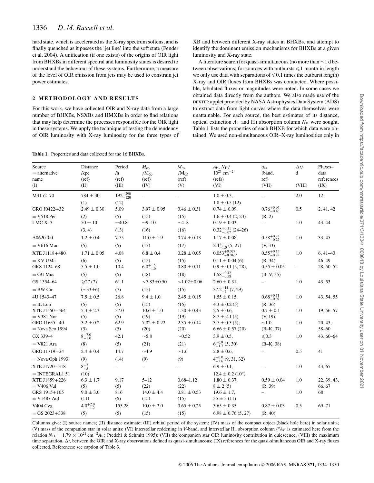hard state, which is accelerated as the X-ray spectrum softens, and is finally quenched as it passes the 'jet line' into the soft state (Fender et al. 2004). A unification (if one exists) of the origins of OIR light from BHXBs in different spectral and luminosity states is desired to understand the behaviour of these systems. Furthermore, a measure of the level of OIR emission from jets may be used to constrain jet power estimates.

#### **2 METHODOLOGY AND RESULTS**

**Table 1.** Properties and data collected for the 16 BHXBs.

For this work, we have collected OIR and X-ray data from a large number of BHXBs, NSXBs and HMXBs in order to find relations that may help determine the processes responsible for the OIR light in these systems. We apply the technique of testing the dependency of OIR luminosity with X-ray luminosity for the three types of XB and between different X-ray states in BHXBs, and attempt to identify the dominant emission mechanisms for BHXBs at a given luminosity and X-ray state.

A literature search for quasi-simultaneous (no more than ∼1 d between observations; for sources with outbursts  $\leq 1$  month in length we only use data with separations of  $\leq 0.1$  times the outburst length) X-ray and OIR fluxes from BHXBs was conducted. Where possible, tabulated fluxes or magnitudes were noted. In some cases we obtained data directly from the authors. We also made use of the DEXTER applet provided by NASA Astrophysics Data System (ADS) to extract data from light curves where the data themselves were unattainable. For each source, the best estimates of its distance, optical extinction  $A_V$  and H<sub>I</sub> absorption column  $N_H$  were sought. Table 1 lists the properties of each BHXB for which data were obtained. We used non-simultaneous OIR–X-ray luminosities only in

| Source<br>$=$ alternative | Distance<br>/kpc    | Period<br>/h        | $M_{\rm co}$<br>$/M_{\odot}$ | $M_{\rm cs}$<br>$/M_{\odot}$ | $A_V, N_H/$<br>$10^{21}$ cm <sup>-2</sup> | $q_{cs}$<br>(band,     | $\Delta t/$<br>d  | Fluxes-<br>data |
|---------------------------|---------------------|---------------------|------------------------------|------------------------------|-------------------------------------------|------------------------|-------------------|-----------------|
| name                      | (ref)               | (ref)               | (ref)                        | (ref)                        | (refs)                                    | ref)                   |                   | references      |
| (I)                       | (II)                | (III)               | (IV)                         | (V)                          | (VI)                                      | (VII)                  | (VIII)            | (IX)            |
| M31 r2-70                 | $784 \pm 30$        | $192^{+290}_{-120}$ | $\qquad \qquad -$            |                              | $1.0 \pm 0.3$ ,                           |                        | 2.0               | 12              |
|                           | (1)                 | (12)                |                              |                              | $1.8 \pm 0.5$ (12)                        |                        |                   |                 |
| GRO J0422+32              | $2.49 \pm 0.30$     | 5.09                | $3.97 \pm 0.95$              | $0.46 \pm 0.31$              | $0.74 \pm 0.09$ ,                         | $0.76^{+0.04}_{-0.46}$ | 0.5               | 2, 41, 42       |
| $=$ V518 Per              | (2)                 | (5)                 | (15)                         | (15)                         | $1.6 \pm 0.4$ (2, 23)                     | (R, 2)                 |                   |                 |
| $LMC X-3$                 | $50 \pm 10$         | $\sim$ 40.8         | $-9 - 10$                    | $-4 - 8$                     | $0.19 \pm 0.03$ ,                         |                        | 1.0               | 43, 44          |
|                           | (3, 4)              | (13)                | (16)                         | (16)                         | $0.32_{-0.07}^{+0.31}$ (24-26)            |                        |                   |                 |
| A0620-00                  | $1.2 \pm 0.4$       | 7.75                | $11.0 \pm 1.9$               | $0.74 \pm 0.13$              | $1.17 \pm 0.08,$                          | $0.58^{+0.25}_{-0.22}$ | 1.0               | 33, 45          |
| $=$ V616 Mon              | (5)                 | (5)                 | (17)                         | (17)                         | $2.4^{+1.1}_{-1.0}$ (5, 27)               | (V, 33)                |                   |                 |
| XTE J1118+480             | $1.71 \pm 0.05$     | 4.08                | $6.8 \pm 0.4$                | $0.28 \pm 0.05$              | $0.053_{-0.016}^{+0.027}$                 | $0.55^{+0.15}_{-0.28}$ | 1.0               | $6,41-43,$      |
| $=$ KV UMa                | (6)                 | (5)                 | (15)                         | (15)                         | $0.11 \pm 0.04$ (6)                       | (R, 34)                |                   | $46 - 49$       |
| GRS 1124-68               | $5.5 \pm 1.0$       | 10.4                | $6.0^{+1.5}_{-1.0}$          | $0.80 \pm 0.11$              | $0.9 \pm 0.1$ (5, 28),                    | $0.55 \pm 0.05$        | $\qquad \qquad -$ | 28, 50-52       |
| $=$ GU Mus                | (5)                 | (5)                 | (18)                         | (18)                         | $1.58^{+0.42}_{-0.58}$                    | $(B-V, 35)$            |                   |                 |
| GS 1354-64                | $\geqslant$ 27 (7)  | 61.1                | $>7.83\pm0.50$               | $>1.02 \pm 0.06$             | $2.60 \pm 0.31$ ,                         |                        | 1.0               | 43, 53          |
| $=$ BW Cir                | $(\sim 33 \pm 6)$   | (7)                 | (15)                         | (15)                         | $37.2^{+14}_{-7}$ (7, 29)                 |                        |                   |                 |
| 4U 1543-47                | $7.5 \pm 0.5$       | 26.8                | $9.4 \pm 1.0$                | $2.45 \pm 0.15$              | $1.55 \pm 0.15$ ,                         | $0.68^{+0.11}_{-0.07}$ | 1.0               | 43, 54, 55      |
| $=$ IL Lup                | (5)                 | (5)                 | (15)                         | (15)                         | $4.3 \pm 0.2$ (5)                         | (R, 36)                |                   |                 |
| XTE J1550-564             | $5.3 \pm 2.3$       | 37.0                | $10.6 \pm 1.0$               | $1.30 \pm 0.43$              | $2.5 \pm 0.6$ ,                           | $0.7 \pm 0.1$          | 1.0               | 19, 56, 57      |
| $=$ V381 Nor              | (5)                 | (5)                 | (19)                         | (19)                         | $8.7 \pm 2.1(5)$                          | (V, 19)                |                   |                 |
| GRO J1655-40              | $3.2 \pm 0.2$       | 62.9                | $7.02 \pm 0.22$              | $2.35 \pm 0.14$              | $3.7 \pm 0.3$ (5),                        | $\sim1.0$              | 1.0               | 20, 43,         |
| $=$ Nova Sco 1994         | (5)                 | (5)                 | (20)                         | (20)                         | $6.66 \pm 0.57 \; (20)$                   | $(B-K, 37)$            |                   | $58 - 60$       |
| GX 339-4                  | $8^{+7.0}_{-1.0}$   | 42.1                | $\sim$ 5.8                   | $\sim 0.52$                  | $3.9 \pm 0.5$ ,                           | $\leq 0.3$             | 1.0               | $43,60-64$      |
| $= V821$ Ara              | (8)                 | (5)                 | (21)                         | (21)                         | $6^{+0.9}_{-1.7}$ (5, 30)                 | $(B-K, 38)$            |                   |                 |
| GRO J1719-24              | $2.4 \pm 0.4$       | 14.7                | $\sim$ 4.9                   | $\sim$ 1.6                   | $2.8 \pm 0.6$ ,                           |                        | 0.5               | 41              |
| $=$ Nova Oph 1993         | (9)                 | (14)                | (9)                          | (9)                          | $4^{+0.0}_{-2.6}$ (9, 31, 32)             |                        |                   |                 |
| XTE J1720-318             | $8^{+7}_{-5}$       |                     | $\overline{\phantom{0}}$     |                              | $6.9 \pm 0.1$ ,                           |                        | 1.0               | 43, 65          |
| $=$ INTEGRAL1 51          | (10)                |                     |                              |                              | $12.4 \pm 0.2$ (10 <sup><i>a</i></sup> )  |                        |                   |                 |
| XTE J1859+226             | $6.3 \pm 1.7$       | 9.17                | $5 - 12$                     | $0.68 - 1.12$                | $1.80 \pm 0.37,$                          | $0.59 \pm 0.04$        | 1.0               | 22, 39, 43,     |
| $=$ V406 Vul              | (5)                 | (5)                 | (22)                         | (22)                         | $8 \pm 2(5)$                              | (R, 39)                |                   | 66, 67          |
| GRS 1915+105              | $9.0 \pm 3.0$       | 816                 | $14.0 \pm 4.4$               | $0.81 \pm 0.53$              | $19.6 \pm 1.7$ ,                          |                        | 1.0               | 68              |
| $=$ V1487 Aql             | (11)                | (5)                 | (15)                         | (15)                         | $35 \pm 3(11)$                            |                        |                   |                 |
| V404 Cyg                  | $4.0^{+2.0}_{-1.2}$ | 155.28              | $10.0 \pm 2.0$               | $0.65 \pm 0.25$              | $3.65 \pm 0.35$                           | $0.87 \pm 0.03$        | 0.5               | $69 - 71$       |
| $=$ GS 2023+338           | (5)                 | (5)                 | (15)                         | (15)                         | $6.98 \pm 0.76$ (5, 27)                   | (R, 40)                |                   |                 |

Columns give: (I) source names; (II) distance estimate; (III) orbital period of the system; (IV) mass of the compact object (black hole here) in solar units; (V) mass of the companion star in solar units; (VI) interstellar reddening in *V*-band, and interstellar H<sub>I</sub> absorption column (<sup>a</sup>A<sub>V</sub> is estimated here from the relation  $N_H = 1.79 \times 10^{21}$  cm<sup>-2</sup>A<sub>V</sub>; Predehl & Schmitt 1995); (VII) the companion star OIR luminosity contribution in quiescence; (VIII) the maximum time separation,  $\Delta t$ , between the OIR and X-ray observations defined as quasi-simultaneous; (IX) references for the quasi-simultaneous OIR and X-ray fluxes collected. References: see caption of Table 3.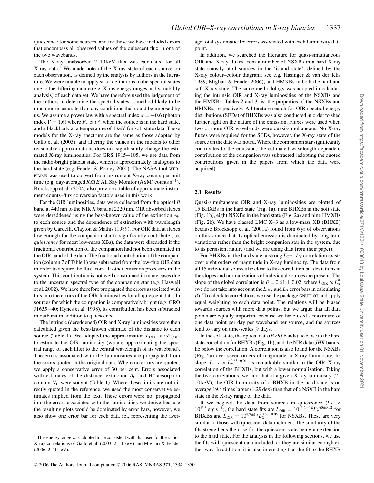quiescence for some sources, and for these we have included errors that encompass all observed values of the quiescent flux in one of the two wavebands.

The X-ray unabsorbed 2–10 keV flux was calculated for all X-ray data.1 We made note of the X-ray state of each source on each observation, as defined by the analysis by authors in the literature. We were unable to apply strict definitions to the spectral states due to the differing nature (e.g. X-ray energy ranges and variability analysis) of each data set. We have therefore used the judgement of the authors to determine the spectral states; a method likely to be much more accurate than any conditions that could be imposed by us. We assume a power law with a spectral index  $\alpha = -0.6$  (photon index  $\Gamma = 1.6$ ) where  $F_v \propto v^{\alpha}$ , when the source is in the hard state, and a blackbody at a temperature of 1 keV for soft state data. These models for the X-ray spectrum are the same as those adopted by Gallo et al. (2003), and altering the values in the models to other reasonable approximations does not significantly change the estimated X-ray luminosities. For GRS 1915+105, we use data from the radio-bright plateau state, which is approximately analogous to the hard state (e.g. Fender & Pooley 2000). The NASA tool WEB-PIMMS was used to convert from instrument X-ray counts per unit time (e.g. day-averaged *RXTE* All Sky Monitor (ASM) counts s<sup>−</sup>1). Brocksopp et al. (2004) also provide a table of approximate instrument counts–flux conversion factors used in this work.

For the OIR luminosities, data were collected from the optical *B* band at 440 nm to the NIR *K* band at 2220 nm. OIR absorbed fluxes were dereddened using the best-known value of the extinction *AV* to each source and the dependence of extinction with wavelength given by Cardelli, Clayton & Mathis (1989). For OIR data at fluxes low enough for the companion star to significantly contribute (i.e. *quiescence* for most low-mass XBs), the data were discarded if the fractional contribution of the companion had not been estimated in the OIR band of the data. The fractional contribution of the companion (column 7 of Table 1) was subtracted from the low-flux OIR data in order to acquire the flux from all other emission processes in the system. This contribution is not well constrained in many cases due to the uncertain spectral type of the companion star (e.g. Haswell et al. 2002). We have therefore propagated the errors associated with this into the errors of the OIR luminosities for all quiescent data. In sources for which the companion is comparatively bright (e.g. GRO J1655−40; Hynes et al. 1998), its contribution has been subtracted in outburst in addition to quiescence.

The intrinsic (dereddened) OIR and X-ray luminosities were then calculated given the best-known estimate of the distance to each source (Table 1). We adopted the approximation  $L_{\text{OIR}} \approx vF_{\nu,\text{OIR}}$ to estimate the OIR luminosity (we are approximating the spectral range of each filter to the central wavelength of its waveband). The errors associated with the luminosities are propagated from the errors quoted in the original data. Where no errors are quoted, we apply a conservative error of 30 per cent. Errors associated with estimates of the distance, extinction  $A_V$  and H<sub>I</sub> absorption column  $N<sub>H</sub>$  were sought (Table 1). Where these limits are not directly quoted in the reference, we used the most conservative estimates implied from the text. These errors were not propagated into the errors associated with the luminosities we derive because the resulting plots would be dominated by error bars, however, we also show one error bar for each data set, representing the average total systematic  $1\sigma$  errors associated with each luminosity data point.

In addition, we searched the literature for quasi-simultaneous OIR and X-ray fluxes from a number of NSXBs in a hard X-ray state (mostly atoll sources in the 'island state', defined by the X-ray colour–colour diagram; see e.g. Hasinger & van der Klis 1989; Migliari & Fender 2006), and HMXBs in both the hard and soft X-ray state. The same methodology was adopted in calculating the intrinsic OIR and X-ray luminosities of the NSXBs and the HMXBs. Tables 2 and 3 list the properties of the NSXBs and HMXBs, respectively. A literature search for OIR spectral energy distributions (SEDs) of BHXBs was also conducted in order to shed further light on the nature of the emission. Fluxes were used when two or more OIR wavebands were quasi-simultaneous. No X-ray fluxes were required for the SEDs, however, the X-ray state of the source on the date was noted. Where the companion star significantly contributes to the emission, the estimated wavelength-dependent contribution of the companion was subtracted (adopting the quoted contributions given in the papers from which the data were acquired).

#### **2.1 Results**

Quasi-simultaneous OIR and X-ray luminosities are plotted of 15 BHXBs in the hard state (Fig. 1a), nine BHXBs in the soft state (Fig. 1b), eight NSXBs in the hard state (Fig. 2a) and nine HMXBs (Fig. 2b). We have classed LMC X–3 as a low-mass XB (BHXB) because Brocksopp et al. (2001a) found from 6 yr of observations on this source that its optical emission is dominated by long-term variations rather than the bright companion star in the system, due to its persistent nature (and we are using data from their paper).

For BHXBs in the hard state, a strong  $L_{\text{OIR}}-L_{\text{X}}$  correlation exists over eight orders of magnitude in X-ray luminosity. The data from all 15 individual sources lie close to this correlation but deviations in the slopes and normalizations of individual sources are present. The slope of the global correlation is  $\beta = 0.61 \pm 0.02$ , where  $L_{\text{OIR}} \propto L_X^{\beta}$ (we do not take into account the  $L_{\text{OIR}}$  and  $L_X$  error bars in calculating  $\beta$ ). To calculate correlations we use the package GNUPLOT and apply equal weighting to each data point. The relations will be biased towards sources with more data points, but we argue that all data points are equally important because we have used a maximum of one data point per day per waveband per source, and the sources tend to vary on time-scales  $\geq$  days.

In the soft state, the optical data (*BVRI* bands) lie close to the hard state correlation for BHXBs (Fig. 1b), and the NIR data (*JHK*bands) lie below the correlation. A correlation is also found for the NSXBs (Fig. 2a) over seven orders of magnitude in X-ray luminosity. Its slope,  $L_{\text{OR}} \propto L_{\text{X}}^{0.63 \pm 0.04}$ , is remarkably similar to the OIR–X-ray correlation of the BHXBs, but with a lower normalization. Taking the two correlations, we find that at a given X-ray luminosity (2– 10 keV), the OIR luminosity of a BHXB in the hard state is on average 19.4 times larger (1.29 dex) than that of a NSXB in the hard state in the X-ray range of the data.

If we neglect the data from sources in quiescence  $(L_X <$  $10^{33.5}$  erg s<sup>-1</sup>), the hard state fits are  $L_{\text{OIR}} = 10^{13.2 \pm 0.8} L_{\text{X}}^{0.60 \pm 0.02}$  for BHXBs and  $L_{\text{OIR}} = 10^{9.7 \pm 1.8} L_{\text{X}}^{0.66 \pm 0.05}$  for NSXBs. These are very similar to those with quiescent data included. The similarity of the fits strengthens the case for the quiescent state being an extension to the hard state. For the analysis in the following sections, we use the fits with quiescent data included, as they are similar enough either way. In addition, it is also interesting that the fit to the BHXB

<sup>&</sup>lt;sup>1</sup> This energy range was adopted to be consistent with that used for the radio– X-ray correlations of Gallo et al. (2003, 2–11 keV) and Migliari & Fender (2006, 2–10 keV).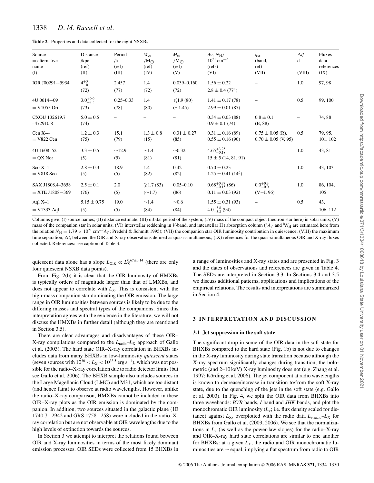**Table 2.** Properties and data collected for the eight NSXBs.

| Source<br>$=$ alternative<br>name<br>(I) | Distance<br>/kpc<br>(ref)<br>(II) | Period<br>/h<br>(ref)<br>(III) | $M_{\rm co}$<br>$/M_{\odot}$<br>(ref)<br>(IV) | $M_{\rm cs}$<br>$/M_{\odot}$<br>(ref)<br>(V) | $A_V, N_H/$<br>$10^{21}$ cm <sup>-2</sup><br>(refs)<br>(VI) | $q_{\rm cs}$<br>(band,<br>ref)<br>(VII)         | $\Delta t/$<br>d<br>(VIII) | Fluxes-<br>data<br>references<br>(IX) |
|------------------------------------------|-----------------------------------|--------------------------------|-----------------------------------------------|----------------------------------------------|-------------------------------------------------------------|-------------------------------------------------|----------------------------|---------------------------------------|
| IGR J00291+5934                          | $4^{+3}_{-0}$<br>(72)             | 2.457<br>(77)                  | 1.4<br>(72)                                   | $0.039 - 0.160$<br>(72)                      | $1.56 \pm 0.22$<br>$2.8 \pm 0.4$ (77 <sup><i>a</i></sup> )  |                                                 | 1.0                        | 97, 98                                |
| 4U 0614+09<br>$=$ V1055 Ori              | $3.0^{+0.0}_{-2.5}$<br>(73)       | $0.25 - 0.33$<br>(78)          | 1.4<br>(80)                                   | $\leq 1.9(80)$<br>$(\sim 1.45)$              | $1.41 \pm 0.17(78)$<br>$2.99 \pm 0.01(87)$                  |                                                 | 0.5                        | 99, 100                               |
| CXOU 132619.7<br>$-472910.8$             | $5.0 \pm 0.5$<br>(74)             |                                |                                               |                                              | $0.34 \pm 0.03$ (88)<br>$0.9 \pm 0.1$ (74)                  | $0.8 \pm 0.1$<br>(B, 88)                        |                            | 74,88                                 |
| $Cen X-4$<br>$=$ V822 Cen                | $1.2 \pm 0.3$<br>(75)             | 15.1<br>(79)                   | $1.3 \pm 0.8$<br>(15)                         | $0.31 \pm 0.27$<br>(85)                      | $0.31 \pm 0.16(89)$<br>$0.55 \pm 0.16(90)$                  | $0.75 \pm 0.05$ (R),<br>$0.70 \pm 0.05$ (V, 95) | 0.5                        | 79, 95,<br>101, 102                   |
| 4U 1608-52<br>$=$ QX Nor                 | $3.3 \pm 0.5$<br>(5)              | $\sim$ 12.9<br>(5)             | $\sim$ 1.4<br>(81)                            | $\sim 0.32$<br>(81)                          | $4.65^{+3.25}_{-0.18}$<br>$15 \pm 5(14, 81, 91)$            |                                                 | 1.0                        | 43, 81                                |
| $Sco X-1$<br>$=$ V818 Sco                | $2.8 \pm 0.3$<br>(5)              | 18.9<br>(5)                    | 1.4<br>(82)                                   | 0.42<br>(82)                                 | $0.70 \pm 0.23$<br>$1.25 \pm 0.41$ (14 <sup>b</sup> )       |                                                 | 1.0                        | 43, 103                               |
| SAX J1808.4-3658<br>$=$ XTE J1808-369    | $2.5 \pm 0.1$<br>(76)             | 2.0<br>(5)                     | $\geqslant$ 1.7 (83)<br>$(\sim 1.7)$          | $0.05 - 0.10$<br>(86)                        | $0.68^{+0.37}_{-0.15}$ (86)<br>$0.11 \pm 0.03$ (92)         | $0.0^{+0.3}_{-0.0}$<br>$(V-I, 96)$              | 1.0                        | 86, 104,<br>105                       |
| Aql $X-1$<br>$=$ V1333 Aql               | $5.15 \pm 0.75$<br>(5)            | 19.0<br>(5)                    | $\sim$ 1.4<br>(84)                            | $\sim 0.6$<br>(84)                           | $1.55 \pm 0.31(93)$<br>$4.0^{+3.8}_{-3.2}$ (94)             |                                                 | 0.5                        | 43,<br>$106 - 112$                    |

Columns give: (I) source names; (II) distance estimate; (III) orbital period of the system; (IV) mass of the compact object (neutron star here) in solar units; (V) mass of the companion star in solar units; (VI) interstellar reddening in *V*-band, and interstellar H<sub>I</sub> absorption column ( ${}^a_4$ V and  ${}^bN_\text{H}$  are estimated here from the relation  $N_H = 1.79 \times 10^{21}$  cm<sup>-2</sup>*A<sub>V</sub>*; Predehl & Schmitt 1995); (VII) the companion star OIR luminosity contribution in quiescence; (VIII) the maximum time separation,  $\Delta t$ , between the OIR and X-ray observations defined as quasi-simultaneous; (IX) references for the quasi-simultaneous OIR and X-ray fluxes collected. References: see caption of Table 3.

quiescent data alone has a slope  $L_{\text{OIR}} \propto L_{\text{X}}^{0.67 \pm 0.14}$  (there are only four quiescent NSXB data points).

From Fig. 2(b) it is clear that the OIR luminosity of HMXBs is typically orders of magnitude larger than that of LMXBs, and does not appear to correlate with  $L_X$ . This is consistent with the high-mass companion star dominating the OIR emission. The large range in OIR luminosities between sources is likely to be due to the differing masses and spectral types of the companions. Since this interpretation agrees with the evidence in the literature, we will not discuss the HMXBs in further detail (although they are mentioned in Section 3.5).

There are clear advantages and disadvantages of these OIR– X-ray compilations compared to the  $L_{\text{radio}}-L_{\text{X}}$  approach of Gallo et al. (2003). The hard state OIR–X-ray correlation in BHXBs includes data from many BHXBs in low-luminosity *quiescent* states (seven sources with  $10^{30} < L_X < 10^{33.5}$  erg s<sup>-1</sup>), which was not possible for the radio–X-ray correlation due to radio detector limits (but see Gallo et al. 2006). The BHXB sample also includes sources in the Large Magellanic Cloud (LMC) and M31, which are too distant (and hence faint) to observe at radio wavelengths. However, unlike the radio–X-ray comparison, HMXBs cannot be included in these OIR–X-ray plots as the OIR emission is dominated by the companion. In addition, two sources situated in the galactic plane (1E 1740.7−2942 and GRS 1758−258) were included in the radio–Xray correlation but are not observable at OIR wavelengths due to the high levels of extinction towards the sources.

In Section 3 we attempt to interpret the relations found between OIR and X-ray luminosities in terms of the most likely dominant emission processes. OIR SEDs were collected from 15 BHXBs in a range of luminosities and X-ray states and are presented in Fig. 3 and the dates of observations and references are given in Table 4. The SEDs are interpreted in Section 3.3. In Sections 3.4 and 3.5 we discuss additional patterns, applications and implications of the empirical relations. The results and interpretations are summarized in Section 4.

#### **3 INTERPRETATION AND DISCUSSION**

#### **3.1 Jet suppression in the soft state**

The significant drop in some of the OIR data in the soft state for BHXBs compared to the hard state (Fig. 1b) is not due to changes in the X-ray luminosity during state transition because although the X-ray spectrum significantly changes during transition, the bolometric (and 2–10 keV) X-ray luminosity does not (e.g. Zhang et al. 1997; Körding et al. 2006). The jet component at radio wavelengths is known to decrease/increase in transition to/from the soft X-ray state, due to the quenching of the jets in the soft state (e.g. Gallo et al. 2003). In Fig. 4, we split the OIR data from BHXBs into three wavebands: *BVR* bands, *I* band and *JHK* bands, and plot the monochromatic OIR luminosity  $(L_v; i.e.$  flux density scaled for distance) against  $L_X$ , overplotted with the radio data  $L_{\nu, \text{radio}} - L_X$  for BHXBs from Gallo et al. (2003, 2006). We see that the normalizations in  $L<sub>v</sub>$  (as well as the power-law slopes) for the radio–X-ray and OIR–X-ray hard state correlations are similar to one another for BHXBs: at a given  $L_X$ , the radio and OIR monochromatic luminosities are ∼ equal, implying a flat spectrum from radio to OIR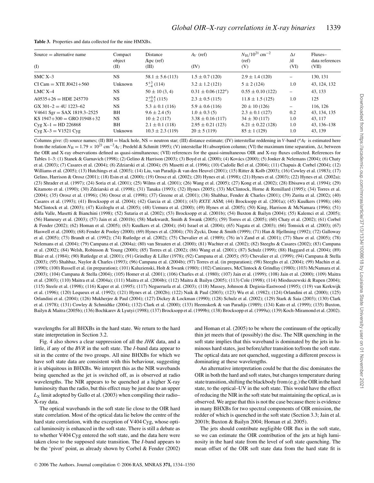| Table 3. Properties and data collected for the nine HMXBs. |  |  |  |
|------------------------------------------------------------|--|--|--|
|                                                            |  |  |  |

| Compact<br>object<br>(II)                     | <b>Distance</b><br>$/$ kpc (ref)<br>(III)                                                                 | $A_V$ (ref)<br>(IV)                                                                                           | $N_{\rm H}$ /10 <sup>21</sup> cm <sup>-2</sup><br>(ref)<br>(V)                                          | $\Delta t$<br>/d<br>(VI)                             | Fluxes-<br>data references<br>(VII)                          |
|-----------------------------------------------|-----------------------------------------------------------------------------------------------------------|---------------------------------------------------------------------------------------------------------------|---------------------------------------------------------------------------------------------------------|------------------------------------------------------|--------------------------------------------------------------|
| <b>NS</b>                                     | $58.1 \pm 5.6$ (113)                                                                                      | $1.5 \pm 0.7$ (120)                                                                                           | $2.9 \pm 1.4$ (120)                                                                                     |                                                      | 130, 131                                                     |
| Unknown                                       | $5^{+3}_{-4}$ (114)                                                                                       | $3.2 \pm 1.2$ (121)                                                                                           | $5 \pm 2(124)$                                                                                          | 1.0                                                  | 43, 124, 132                                                 |
| <b>NS</b>                                     | $50 \pm 10(3, 4)$                                                                                         | $0.31 \pm 0.06$ (122 <sup><i>a</i></sup> )                                                                    | $0.55 \pm 0.10$ (122)                                                                                   | $\overline{\phantom{m}}$                             | 43, 133                                                      |
| <b>NS</b>                                     | $2^{+0.4}_{-0.7}$ (115)                                                                                   | $2.3 \pm 0.5$ (115)                                                                                           | $11.8 \pm 1.5$ (125)                                                                                    | 1.0                                                  | 125                                                          |
| <b>NS</b><br>BH<br><b>NS</b><br>BH<br>Unknown | $5.3 \pm 0.1$ (116)<br>$9.6 \pm 2.4(5)$<br>$10 \pm 2(117)$<br>$2.1 \pm 0.1$ (118)<br>$10.3 \pm 2.3$ (119) | $5.9 \pm 0.6$ (116)<br>$1.0 \pm 0.3$ (5)<br>$3.38 \pm 0.16$ (117)<br>$2.95 \pm 0.21$ (123)<br>$20 \pm 5(119)$ | $20 \pm 10(126)$<br>$2.3 \pm 0.1$ (127)<br>$34 \pm 30(117)$<br>$6.21 \pm 0.22$ (128)<br>$85 \pm 1(129)$ | $\overline{\phantom{0}}$<br>0.2<br>1.0<br>1.0<br>1.0 | 116, 126<br>43, 134, 135<br>43.117<br>43, 136-138<br>43, 139 |
|                                               |                                                                                                           |                                                                                                               |                                                                                                         |                                                      |                                                              |

Columns give: (I) source names; (II) BH = black hole, NS = neutron star; (III) distance estimate; (IV) interstellar reddening in *V*-band ( ${}^a$ A<sub>V</sub> is estimated here from the relation  $N_H = 1.79 \times 10^{21}$  cm<sup>-2</sup>*A<sub>V</sub>*; Predehl & Schmitt 1995); (V) interstellar H<sub>I</sub> absorption column; (VI) the maximum time separation,  $\Delta t$ , between the OIR and X-ray observations defined as quasi-simultaneous; (VII) references for the quasi-simultaneous OIR and X-ray fluxes collected. References for Tables 1–3: (1) Stanek & Garnavich (1998); (2) Gelino & Harrison (2003); (3) Boyd et al. (2000); (4) Kovács (2000); (5) Jonker & Nelemans (2004); (6) Chaty et al. (2003); (7) Casares et al. (2004); (8) Zdziarski et al. (2004); (9) Masetti et al. (1996); (10) Cadolle Bel et al. (2004); (11) Chapuis & Corbel (2004); (12) Williams et al. (2005); (13) Hutchings et al. (2003); (14) Liu, van Paradijs & van den Heuvel (2001); (15) Ritter & Kolb (2003); (16) Cowley et al. (1983); (17) Gelino, Harrison & Orosz (2001); (18) Esin et al. (2000); (19) Orosz et al. (2002); (20) Hynes et al. (1998); (21) Hynes et al. (2003); (22) Hynes et al. (2002a); (23) Shrader et al. (1997); (24) Soria et al. (2001); (25) Wilms et al. (2001); (26) Wang et al. (2005); (27) Kong et al. (2002); (28) Ebisawa et al. (1994); (29) Kitamoto et al. (1990); (30) Zdziarski et al. (1998); (31) Tanaka (1993); (32) Hynes (2005); (33) McClintock, Horne & Remillard (1995); (34) Torres et al. (2004); (35) Orosz et al. (1996); (36) Orosz et al. (1998); (37) Greene et al. (2001); (38) Shahbaz, Fender & Charles (2001); (39) Zurita et al. (2002); (40) Casares et al. (1993); (41) Brocksopp et al. (2004); (42) Garcia et al. (2001); (43) *RXTE* ASM; (44) Brocksopp et al. (2001a); (45) Kuulkers (1998); (46) McClintock et al. (2003); (47) Kiziloglu et al. (2005); (48) Uemura et al. (2000); (49) Hynes et al. (2005); (50) King, Harrison & McNamara (1996); (51) della Valle, Masetti & Bianchini (1998); (52) Sutaria et al. (2002); (53) Brocksopp et al. (2001b); (54) Buxton & Bailyn (2004); (55) Kalemci et al. (2005); (56) Hameury et al. (2003); (57) Jain et al. (2001b); (58) Markwardt, Smith & Swank (2005); (59) Torres et al. (2005); (60) Chaty et al. (2002); (61) Corbel & Fender (2002); (62) Homan et al. (2005); (63) Kuulkers et al. (2004); (64) Israel et al. (2004); (65) Nagata et al. (2003); (66) Tomsick et al. (2003); (67) Haswell et al. (2000); (68) Fender & Pooley (2000); (69) Hynes et al. (2004); (70) Zycki, Done & Smith (1999); (71) Han & Hjellming (1992); (72) Galloway ˙ et al. (2005); (73) Brandt et al. (1992); (74) Rutledge et al. (2002); (75) Chevalier et al. (1989); (76) in't Zand et al. (2001); (77) Shaw et al. (2005); (78) Nelemans et al. (2004); (79) Campana et al. (2004a); (80) van Straaten et al. (2000); (81) Wachter et al. (2002); (82) Steeghs & Casares (2002); (83) Campana et al. (2002); (84) Welsh, Robinson & Young (2000); (85) Torres et al. (2002); (86) Wang et al. (2001); (87) Schulz (1999); (88) Haggard et al. (2004); (89) Blair et al. (1984); (90) Rutledge et al. (2001); (91) Grindlay & Liller (1978); (92) Campana et al. (2005); (93) Chevalier et al. (1999); (94) Campana & Stella (2003); (95) Shahbaz, Naylor & Charles (1993); (96) Campana et al. (2004b); (97) Torres et al. (in preparation); (98) Steeghs et al. (2004); (99) Machin et al. (1990); (100) Russell et al. (in preparation); (101) Kaluzienski, Holt & Swank (1980); (102) Canizares, McClintock & Grindlay (1980); (103) McNamara et al. (2003); (104) Campana & Stella (2004); (105) Homer et al. (2001); (106) Charles et al. (1980); (107) Jain et al. (1999); (108) Jain et al. (2000); (109) Maitra et al. (2003); (110) Maitra et al. (2004a); (111) Maitra et al. (2004b); (112) Maitra & Bailyn (2005); (113) Cole (1998); (114) Mioduszewski & Rupen (2004); (115) Steele et al. (1998); (116) Kaper et al. (1995); (117) Negueruela et al. (2003); (118) Massey, Johnson & Degioia-Eastwood (1995); (119) van Kerkwijk et al. (1996); (120) Lequeux et al. (1992); (121) Hynes et al. (2002b); (122) Naik & Paul (2003); (123) Wu et al. (1982); (124) Orlandini et al. (2000); (125) Orlandini et al. (2004); (126) Mukherjee & Paul (2004); (127) Dickey & Lockman (1990); (128) Schulz et al. (2002); (129) Stark & Saia (2003); (130) Clark et al. (1978); (131) Cowley & Schmidtke (2004); (132) Clark et al. (2000); (133) Heemskerk & van Paradijs (1989); (134) Kato et al. (1999); (135) Buxton, Bailyn & Maitra (2005b); (136) Bochkarev & Lyutyi (1998); (137) Brocksopp et al. (1999b); (138) Brocksopp et al. (1999a); (139) Koch-Miramond et al. (2002).

wavelengths for all BHXBs in the hard state. We return to the hard state interpretation in Section 3.2.

Fig. 4 also shows a clear suppression of all the *JHK* data, and a little, if any of the *BVR* in the soft state. The *I*-band data appear to sit in the centre of the two groups. All nine BHXBs for which we have soft state data are consistent with this behaviour, suggesting it is ubiquitous in BHXBs. We interpret this as the NIR wavebands being quenched as the jet is switched off, as is observed at radio wavelengths. The NIR appears to be quenched at a higher X-ray luminosity than the radio, but this effect may be just due to an upper  $L_X$  limit adopted by Gallo et al. (2003) when compiling their radio– X-ray data.

The optical wavebands in the soft state lie close to the OIR hard state correlation. Most of the optical data lie below the centre of the hard state correlation, with the exception of V404 Cyg, whose optical luminosity is enhanced in the soft state. There is still a debate as to whether V404 Cyg entered the soft state, and the data here were taken close to the supposed state transition. The *I*-band appears to be the 'pivot' point, as already shown by Corbel & Fender (2002) and Homan et al. (2005) to be where the continuum of the optically thin jet meets that of (possibly) the disc. The NIR quenching in the soft state implies that this waveband is dominated by the jets in luminous hard states, just before/after transition to/from the soft state. The optical data are not quenched, suggesting a different process is dominating at these wavelengths.

An alternative interpretation could be that the disc dominates the OIR in both the hard and soft states, but changes temperature during state transition, shifting the blackbody from (e.g.) the OIR in the hard state, to the optical–UV in the soft state. This would have the effect of reducing the NIR in the soft state but maintaining the optical, as is observed. We argue that this is not the case because there is evidence in many BHXBs for two spectral components of OIR emission, the redder of which is quenched in the soft state (Section 3.3; Jain et al. 2001b; Buxton & Bailyn 2004; Homan et al. 2005).

The jets should contribute negligible OIR flux in the soft state, so we can estimate the OIR contribution of the jets at high luminosity in the hard state from the level of soft state quenching. The mean offset of the OIR soft state data from the hard state fit is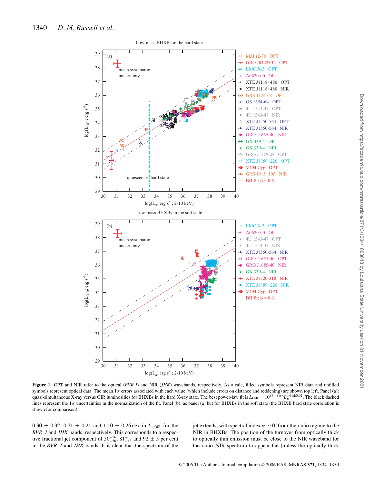

Figure 1. OPT and NIR refer to the optical (*BVR I*) and NIR (*JHK*) wavebands, respectively. As a rule, filled symbols represent NIR data and unfilled symbols represent optical data. The mean  $1\sigma$  errors associated with each value (which include errors on distance and reddening) are shown top left. Panel (a): quasi-simultaneous X-ray versus OIR luminosities for BHXBs in the hard X-ray state. The best power-law fit is  $L_{\text{OIR}} = 10^{13.1 \pm 0.6} L_{\text{X}}^{0.61 \pm 0.02}$ . The black dashed lines represent the  $1\sigma$  uncertainties in the normalization of the fit. Panel (b): as panel (a) but for BHXBs in the soft state (the BHXB hard state correlation is shown for comparison).

 $0.30 \pm 0.32$ ,  $0.71 \pm 0.21$  and  $1.10 \pm 0.26$  dex in  $L_{\nu, \text{OIR}}$  for the *BVR*, *I* and *JHK* bands, respectively. This corresponds to a respective fractional jet component of  $50^{+26}_{-50}$ ,  $81^{+7}_{-13}$  and  $92 \pm 5$  per cent in the *BVR*, *I* and *JHK* bands. It is clear that the spectrum of the jet extends, with spectral index  $\alpha \sim 0$ , from the radio regime to the NIR in BHXBs. The position of the turnover from optically thick to optically thin emission must be close to the NIR waveband for the radio–NIR spectrum to appear flat (unless the optically thick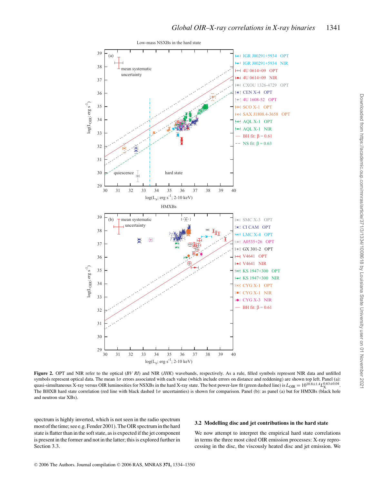

**Figure 2.** OPT and NIR refer to the optical (*BV RI*) and NIR (*JHK*) wavebands, respectively. As a rule, filled symbols represent NIR data and unfilled symbols represent optical data. The mean 1σ errors associated with each value (which include errors on distance and reddening) are shown top left. Panel (a): quasi-simultaneous X-ray versus OIR luminosities for NSXBs in the hard X-ray state. The best power-law fit (green dashed line) is  $L_{\text{OR}} = 10^{10.8 \pm 1.4} L_{\text{X}}^{0.63 \pm 0.04}$ . The BHXB hard state correlation (red line with black dashed 1σ uncertainties) is shown for comparison. Panel (b): as panel (a) but for HMXBs (black hole and neutron star XBs).

spectrum is highly inverted, which is not seen in the radio spectrum most of the time; see e.g. Fender 2001). The OIR spectrum in the hard state is flatter than in the soft state, as is expected if the jet component is present in the former and not in the latter; this is explored further in Section 3.3.

#### **3.2 Modelling disc and jet contributions in the hard state**

We now attempt to interpret the empirical hard state correlations in terms the three most cited OIR emission processes: X-ray reprocessing in the disc, the viscously heated disc and jet emission. We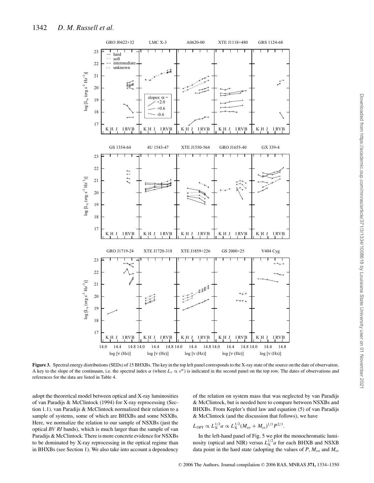

**Figure 3.** Spectral energy distributions (SEDs) of 15 BHXBs. The key in the top left panel corresponds to the X-ray state of the source on the date of observation. A key to the slope of the continuum, i.e. the spectral index  $\alpha$  (where  $L_v \propto v^{\alpha}$ ) is indicated in the second panel on the top row. The dates of observations and references for the data are listed in Table 4.

adopt the theoretical model between optical and X-ray luminosities of van Paradijs & McClintock (1994) for X-ray reprocessing (Section 1.1). van Paradijs & McClintock normalized their relation to a sample of systems, some of which are BHXBs and some NSXBs. Here, we normalize the relation to our sample of NSXBs (just the optical *BV RI* bands), which is much larger than the sample of van Paradijs & McClintock. There is more concrete evidence for NSXBs to be dominated by X-ray reprocessing in the optical regime than in BHXBs (see Section 1). We also take into account a dependency

of the relation on system mass that was neglected by van Paradijs & McClintock, but is needed here to compare between NSXBs and BHXBs. From Kepler's third law and equation (5) of van Paradijs & McClintock (and the discussion that follows), we have

$$
L_{\rm OPT} \propto L_{\rm X}^{1/2} a \propto L_{\rm X}^{1/2} (M_{\rm co} + M_{\rm cs})^{1/3} P^{2/3}.
$$

In the left-hand panel of Fig. 5 we plot the monochromatic luminosity (optical and NIR) versus  $L_{\rm X}^{1/2}$  *a* for each BHXB and NSXB data point in the hard state (adopting the values of  $P$ ,  $M_{\text{co}}$  and  $M_{\text{cs}}$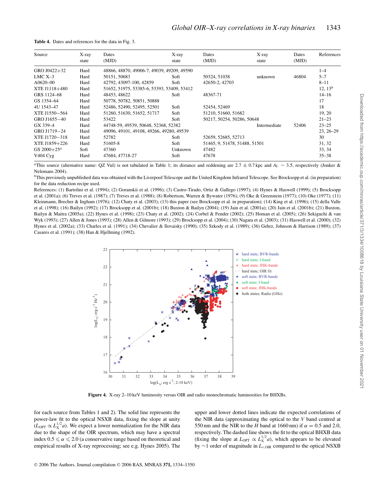| Source                  | X-ray<br>state | Dates<br>(MJD)                             | X-ray<br>state | Dates<br>(MJD)                | X-ray<br>state | Dates<br>(MJD) | References    |
|-------------------------|----------------|--------------------------------------------|----------------|-------------------------------|----------------|----------------|---------------|
| GRO J0422+32            | Hard           | 48866, 48870, 49006-7, 49039, 49209, 49590 |                |                               |                |                | $1 - 4$       |
| $LMC X-3$               | Hard           | 50151, 50683                               | Soft           | 50324, 51038                  | unknown        | 46804          | $5 - 7$       |
| $A0620 - 00$            | Hard           | 42792, 43097-100, 42859                    | Soft           | 42650-2, 42703                |                |                | $8 - 11$      |
| XTE J1118+480           | Hard           | 51652, 51975, 53385-6, 53393, 53409, 53412 |                |                               |                |                | 12, $13^b$    |
| GRS 1124-68             | Hard           | 48453, 48622                               | Soft           | 48367-71                      |                |                | $14 - 16$     |
| GS 1354-64              | Hard           | 50778, 50782, 50851, 50888                 |                |                               |                |                | 17            |
| 4U 1543-47              | Hard           | 52486, 52490, 52495, 52501                 | Soft           | 52454, 52469                  |                |                | 18            |
| XTE J1550-564           | Hard           | 51260, 51630, 51652, 51717                 | Soft           | 51210, 51660, 51682           |                |                | 19, 20        |
| GRO J1655-40            | Hard           | 53422                                      | Soft           | 50217, 50254, 50286, 50648    |                |                | $21 - 23$     |
| GX 339-4                | Hard           | 44748-59, 49539, 50648, 52368, 52382       |                |                               | Intermediate   | 52406          | $23 - 25$     |
| GRO J1719-24            | Hard           | 49096, 49101, 49108, 49266, 49280, 49539   |                |                               |                |                | $23, 26 - 29$ |
| XTE J1720-318           | Hard           | 52782                                      | Soft           | 52659, 52685, 52713           |                |                | 30            |
| XTE J1859+226           | Hard           | 51605-8                                    | Soft           | 51465, 9, 51478, 51488, 51501 |                |                | 31, 32        |
| GS 2000+25 <sup>a</sup> | Soft           | 47360                                      | Unknown        | 47482                         |                |                | 33, 34        |
| $V404$ Cyg              | Hard           | 47684, 47718-27                            | Soft           | 47678                         |                |                | $35 - 38$     |

**Table 4.** Dates and references for the data in Fig. 3.

*<sup>a</sup>*This source (alternative name: QZ Vul) is not tabulated in Table 1; its distance and reddening are 2.7 ± 0.7 kpc and *AV* ∼ 3.5, respectively (Jonker & Nelemans 2004).

*<sup>b</sup>*This previously unpublished data was obtained with the Liverpool Telescope and the United Kingdom Infrared Telescope. See Brocksopp et al. (in preparation) for the data reduction recipe used.

References: (1) Bartolini et al. (1994); (2) Goranskii et al. (1996); (3) Castro-Tirado, Ortiz & Gallego (1997); (4) Hynes & Haswell (1999); (5) Brocksopp et al. (2001a); (6) Treves et al. (1987); (7) Treves et al. (1988); (8) Robertson, Warren & Bywater (1976); (9) Oke & Greenstein (1977); (10) Oke (1977); (11) Kleinmann, Brecher & Ingham (1976); (12) Chaty et al. (2003); (13) this paper (see Brocksopp et al. in preparation); (14) King et al. (1996); (15) della Valle et al. (1998); (16) Bailyn (1992); (17) Brocksopp et al. (2001b); (18) Buxton & Bailyn (2004); (19) Jain et al. (2001a); (20) Jain et al. (2001b); (21) Buxton, Bailyn & Maitra (2005a); (22) Hynes et al. (1998); (23) Chaty et al. (2002); (24) Corbel & Fender (2002); (25) Homan et al. (2005); (26) Sekiguchi & van Wyk (1993); (27) Allen & Jones (1993); (28) Allen & Gilmore (1993); (29) Brocksopp et al. (2004); (30) Nagata et al. (2003); (31) Haswell et al. (2000); (32) Hynes et al. (2002a); (33) Charles et al. (1991); (34) Chevalier & Ilovaisky (1990); (35) Szkody et al. (1989); (36) Gehrz, Johnson & Harrison (1989); (37) Casares et al. (1991); (38) Han & Hjellming (1992).



**Figure 4.** X-ray 2–10 keV luminosity versus OIR and radio monochromatic luminosities for BHXBs.

for each source from Tables 1 and 2). The solid line represents the power-law fit to the optical NSXB data, fixing the slope at unity  $(L_{\text{OPT}} \propto L_{\text{X}}^{1/2} a)$ . We expect a lower normalization for the NIR data due to the shape of the OIR spectrum, which may have a spectral index  $0.5 \le \alpha \le 2.0$  (a conservative range based on theoretical and empirical results of X-ray reprocessing; see e.g. Hynes 2005). The upper and lower dotted lines indicate the expected correlations of the NIR data (approximating the optical to the *V* band centred at 550 nm and the NIR to the *H* band at 1660 nm) if  $\alpha = 0.5$  and 2.0, respectively. The dashed line shows the fit to the optical BHXB data (fixing the slope at  $L_{\text{OPT}} \propto L_{\text{X}}^{1/2} a$ ), which appears to be elevated by ∼1 order of magnitude in *L*<sub>ν,OIR</sub> compared to the optical NSXB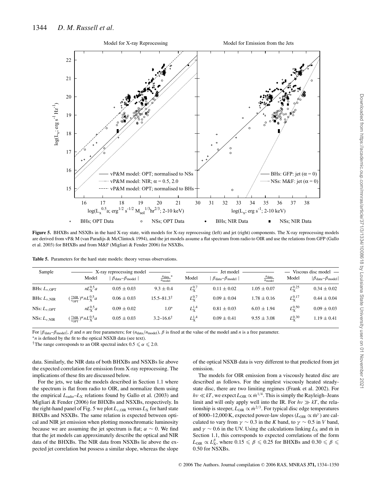

**Figure 5.** BHXBs and NSXBs in the hard X-ray state, with models for X-ray reprocessing (left) and jet (right) components. The X-ray reprocessing models are derived from vP& M (van Paradijs & McClintock 1994), and the jet models assume a flat spectrum from radio to OIR and use the relations from GFP (Gallo et al. 2003) for BHXBs and from M&F (Migliari & Fender 2006) for NSXBs.

| Sample                     | X-ray reprocessing model                                                      |                                |                                           |                   | Jet model                                    | Viscous disc model $-$           |                    |                                  |
|----------------------------|-------------------------------------------------------------------------------|--------------------------------|-------------------------------------------|-------------------|----------------------------------------------|----------------------------------|--------------------|----------------------------------|
|                            | Model                                                                         | $\beta_{data} - \beta_{model}$ | $n_{\text{data}}$ *<br>$n_{\text{model}}$ | Model             | $\beta_{\text{data}} - \beta_{\text{model}}$ | $n_{\text{data}}$<br>$n_{model}$ | Model              | $ \beta_{data} - \beta_{model} $ |
| BHs: $L_{\nu, \text{OPT}}$ | $nL_{\rm V}^{0.5}a$                                                           | $0.05 \pm 0.03$                | $9.3 \pm 0.4$                             | $L_{\rm v}^{0.7}$ | $0.11 \pm 0.02$                              | $1.05 \pm 0.07$                  | $L_{\rm X}^{0.25}$ | $0.34 \pm 0.02$                  |
| BHs: $L_{\nu, \text{NIR}}$ | $(\frac{\nu_{\text{NIR}}}{\nu_{\text{OPT}}})^{\alpha} n L_{\text{X}}^{0.5} a$ | $0.06 \pm 0.03$                | $15.5 - 81.3^{\dagger}$                   | $L_{\rm v}^{0.7}$ | $0.09 \pm 0.04$                              | $1.78 \pm 0.16$                  | $L_{\rm X}^{0.17}$ | $0.44 \pm 0.04$                  |
| NSs: $L_{\nu,OPT}$         | $nL_{\rm Y}^{0.5}a$                                                           | $0.09 \pm 0.02$                | $1.0*$                                    | $L^{1.4}_{\rm v}$ | $0.81 \pm 0.03$                              | $6.03 \pm 1.94$                  | $L_{\rm X}^{0.50}$ | $0.09 \pm 0.03$                  |
| NSs: $L_{\nu, \text{NIR}}$ | $(\frac{\nu_{\rm NIR}}{\nu_{\rm OPT}})^{\alpha} n L_{\rm X}^{0.5} a$          | $0.05 \pm 0.03$                | $3.2 - 16.6^{\dagger}$                    | $L_{\rm v}^{1.4}$ | $0.09 \pm 0.41$                              | $9.55 \pm 3.08$                  | $L_{\rm X}^{0.30}$ | $1.19 \pm 0.41$                  |

**Table 5.** Parameters for the hard state models: theory versus observations.

For  $|\beta_{data} - \beta_{model}|$ ,  $\beta$  and *n* are free parameters; for ( $n_{data}/n_{model}$ ),  $\beta$  is fixed at the value of the model and *n* is a free parameter.<br>\**n* is defined by the fit to the optical NSXB data (see text).

<sup>†</sup>The range corresponds to an OIR spectral index  $0.5 \le \alpha \le 2.0$ .

data. Similarly, the NIR data of both BHXBs and NSXBs lie above the expected correlation for emission from X-ray reprocessing. The implications of these fits are discussed below.

For the jets, we take the models described in Section 1.1 where the spectrum is flat from radio to OIR, and normalize them using the empirical *L*radio–*L*<sup>X</sup> relations found by Gallo et al. (2003) and Migliari & Fender (2006) for BHXBs and NSXBs, respectively. In the right-hand panel of Fig. 5 we plot  $L_{\nu, OIR}$  versus  $L_X$  for hard state BHXBs and NSXBs. The same relation is expected between optical and NIR jet emission when plotting monochromatic luminosity because we are assuming the jet spectrum is flat;  $\alpha \sim 0$ . We find that the jet models can approximately describe the optical and NIR data of the BHXBs. The NIR data from NSXBs lie above the expected jet correlation but possess a similar slope, whereas the slope

of the optical NSXB data is very different to that predicted from jet emission.

The models for OIR emission from a viscously heated disc are described as follows. For the simplest viscously heated steadystate disc, there are two limiting regimes (Frank et al. 2002). For  $hv \ll kT$ , we expect  $L_{\text{OR}} \propto \dot{m}^{1/4}$ . This is simply the Rayleigh–Jeans limit and will only apply well into the IR. For  $h\nu \gg kT$ , the relationship is steeper,  $L_{\text{OIR}} \propto \dot{m}^{2/3}$ . For typical disc edge temperatures of 8000–12,000 K, expected power-law slopes ( $L$ <sub>OIR</sub> ∝ m<sup>γ</sup>) are calculated to vary from  $\gamma \sim 0.3$  in the *K* band, to  $\gamma \sim 0.5$  in *V* band, and  $\gamma \sim 0.6$  in the UV. Using the calculations linking  $L_X$  and m in Section 1.1, this corresponds to expected correlations of the form  $L_{\text{OIR}} \propto L_X^{\beta}$ , where  $0.15 \leqslant \beta \leqslant 0.25$  for BHXBs and  $0.30 \leqslant \beta \leqslant$ 0.50 for NSXBs.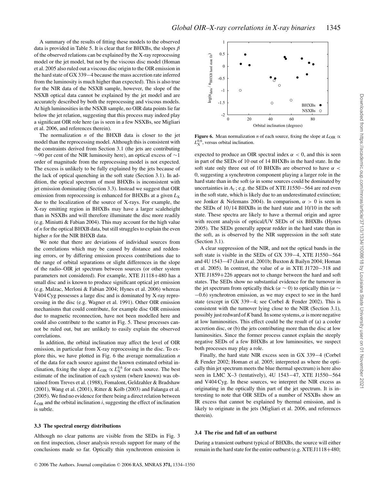A summary of the results of fitting these models to the observed data is provided in Table 5. It is clear that for BHXBs, the slopes  $\beta$ of the observed relations can be explained by the X-ray reprocessing model or the jet model, but not by the viscous disc model (Homan et al. 2005 also ruled out a viscous disc origin to the OIR emission in the hard state of GX 339−4 because the mass accretion rate inferred from the luminosity is much higher than expected). This is also true for the NIR data of the NSXB sample, however, the slope of the NSXB optical data cannot be explained by the jet model and are accurately described by both the reprocessing and viscous models. At high luminosities in the NSXB sample, no OIR data points lie far below the jet relation, suggesting that this process may indeed play a significant OIR role here (as is seen in a few NSXBs, see Migliari et al. 2006, and references therein).

The normalization *n* of the BHXB data is closer to the jet model than the reprocessing model. Although this is consistent with the constraints derived from Section 3.1 (the jets are contributing  $\sim$ 90 per cent of the NIR luminosity here), an optical excess of  $\sim$ 1 order of magnitude from the reprocessing model is not expected. The excess is unlikely to be fully explained by the jets because of the lack of optical quenching in the soft state (Section 3.1). In addition, the optical spectrum of most BHXBs is inconsistent with jet emission dominating (Section 3.3). Instead we suggest that OIR emission from reprocessing is enhanced for BHXBs at a given  $L_X$ due to the localization of the source of X-rays. For example, the X-ray emitting region in BHXBs may have a larger scaleheight than in NSXBs and will therefore illuminate the disc more readily (e.g. Miniutti & Fabian 2004). This may account for the high value of *n* for the optical BHXB data, but still struggles to explain the even higher *n* for the NIR BHXB data.

We note that there are deviations of individual sources from the correlations which may be caused by distance and reddening errors, or by differing emission process contributions due to the range of orbital separations or slight differences in the slope of the radio–OIR jet spectrum between sources (or other system parameters not considered). For example, XTE J1118+480 has a small disc and is known to produce significant optical jet emission (e.g. Malzac, Merloni & Fabian 2004; Hynes et al. 2006) whereas V404 Cyg possesses a large disc and is dominated by X-ray reprocessing in the disc (e.g. Wagner et al. 1991). Other OIR emission mechanisms that could contribute, for example disc OIR emission due to magnetic reconnection, have not been modelled here and could also contribute to the scatter in Fig. 5. These processes cannot be ruled out, but are unlikely to easily explain the observed correlations.

In addition, the orbital inclination may affect the level of OIR emission, in particular from X-ray reprocessing in the disc. To explore this, we have plotted in Fig. 6 the average normalization *n* of the data for each source against the known estimated orbital inclination, fixing the slope at  $L_{\text{OR}} \propto L_{\text{X}}^{0.6}$  for each source. The best estimate of the inclination of each system (where known) was obtained from Treves et al. (1988), Fomalont, Geldzahler & Bradshaw (2001), Wang et al. (2001), Ritter & Kolb (2003) and Falanga et al. (2005). We find no evidence for there being a direct relation between  $L_{\text{OIR}}$  and the orbital inclination  $i$ , suggesting the effect of inclination is subtle.

#### **3.3 The spectral energy distributions**

Although no clear patterns are visible from the SEDs in Fig. 3 on first inspection, closer analysis reveals support for many of the conclusions made so far. Optically thin synchrotron emission is



**Figure 6.** Mean normalization *n* of each source, fixing the slope at  $L_{\text{OIR}} \propto$  $L_{\rm X}^{0.6}$ , versus orbital inclination.

expected to produce an OIR spectral index  $\alpha$  < 0, and this is seen in part of the SEDs of 10 out of 14 BHXBs in the hard state. In the soft state only three out of 10 BHXBs are observed to have  $\alpha$  < 0, suggesting a synchrotron component playing a larger role in the hard state than in the soft ( $\alpha$  in some sources could be dominated by uncertainties in  $A_V$ ; e.g. the SEDs of XTE J1550–564 are red even in the soft state, which is likely due to an underestimated extinction; see Jonker & Nelemans 2004). In comparison,  $\alpha > 0$  is seen in the SEDs of 10/14 BHXBs in the hard state and 10/10 in the soft state. These spectra are likely to have a thermal origin and agree with recent analysis of optical/UV SEDs of six BHXBs (Hynes 2005). The SEDs generally appear redder in the hard state than in the soft, as is observed by the NIR suppression in the soft state (Section 3.1).

A clear suppression of the NIR, and not the optical bands in the soft state is visible in the SEDs of GX 339−4, XTE J1550−564 and 4U 1543−47 (Jain et al. 2001b; Buxton & Bailyn 2004; Homan et al. 2005). In contrast, the value of  $\alpha$  in XTE J1720–318 and XTE J1859+226 appears not to change between the hard and soft states. The SEDs show no substantial evidence for the turnover in the jet spectrum from optically thick ( $\alpha \sim 0$ ) to optically thin ( $\alpha \sim$ −0.6) synchrotron emission, as we may expect to see in the hard state (except in GX 339−4; see Corbel & Fender 2002). This is consistent with the turnover lying close to the NIR (Section 3.1), possibly just redward of  $K$  band. In some systems,  $\alpha$  is more negative at low luminosities. This effect could be the result of (a) a cooler accretion disc, or (b) the jets contributing more than the disc at low luminosities. Since the former process cannot explain the steeply negative SEDs of a few BHXBs at low luminosities, we suspect both processes may play a role.

Finally, the hard state NIR excess seen in GX 339−4 (Corbel & Fender 2002; Homan et al. 2005; interpreted as where the optically thin jet spectrum meets the blue thermal spectrum) is here also seen in LMC X–3 (tentatively), 4U 1543–47, XTE J1550–564 and V404 Cyg. In these sources, we interpret the NIR excess as originating in the optically thin part of the jet spectrum. It is interesting to note that OIR SEDs of a number of NSXBs show an IR excess that cannot be explained by thermal emission, and is likely to originate in the jets (Migliari et al. 2006, and references therein).

#### **3.4 The rise and fall of an outburst**

During a transient outburst typical of BHXBs, the source will either remain in the hard state for the entire outburst (e.g. XTE J1118+480;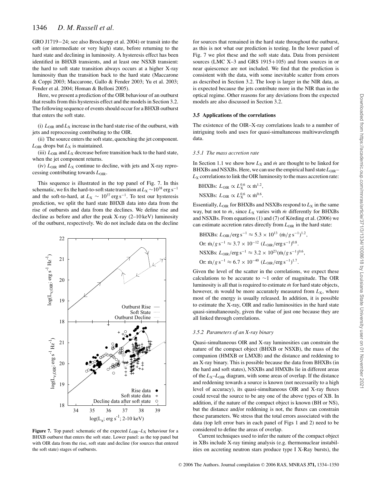GRO J1719−24; see also Brocksopp et al. 2004) or transit into the soft (or intermediate or very high) state, before returning to the hard state and declining in luminosity. A hysteresis effect has been identified in BHXB transients, and at least one NSXB transient: the hard to soft state transition always occurs at a higher X-ray luminosity than the transition back to the hard state (Maccarone & Coppi 2003; Maccarone, Gallo & Fender 2003; Yu et al. 2003; Fender et al. 2004; Homan & Belloni 2005).

Here, we present a prediction of the OIR behaviour of an outburst that results from this hysteresis effect and the models in Section 3.2. The following sequence of events should occur for a BHXB outburst that enters the soft state.

(i)  $L_{\text{OIR}}$  and  $L_X$  increase in the hard state rise of the outburst, with jets and reprocessing contributing to the OIR.

(ii) The source enters the soft state, quenching the jet component.  $L_{\text{OIR}}$  drops but  $L_X$  is maintained.

(iii)  $L_{\text{OIR}}$  and  $L_X$  decrease before transition back to the hard state, when the jet component returns.

(iv)  $L_{\text{OIR}}$  and  $L_X$  continue to decline, with jets and X-ray reprocessing contributing towards  $L_{\text{OIR}}$ .

This sequence is illustrated in the top panel of Fig. 7. In this schematic, we fix the hard-to-soft state transition at  $L_X \sim 10^{38}$  erg s<sup>-1</sup> and the soft-to-hard, at  $L_X \sim 10^{37} \text{ erg s}^{-1}$ . To test our hysteresis prediction, we split the hard state BHXB data into data from the rise of outbursts and data from the declines. We define rise and decline as before and after the peak X-ray (2–10 keV) luminosity of the outburst, respectively. We do not include data on the decline



**Figure 7.** Top panel: schematic of the expected  $L_{\text{OIR}}-L_X$  behaviour for a BHXB outburst that enters the soft state. Lower panel: as the top panel but with OIR data from the rise, soft state and decline (for sources that entered the soft state) stages of outbursts.

for sources that remained in the hard state throughout the outburst, as this is not what our prediction is testing. In the lower panel of Fig. 7 we plot these and the soft state data. Data from persistent sources (LMC X-3 and GRS 1915+105) and from sources in or near quiescence are not included. We find that the prediction is consistent with the data, with some inevitable scatter from errors as described in Section 3.2. The loop is larger in the NIR data, as is expected because the jets contribute more in the NIR than in the optical regime. Other reasons for any deviations from the expected models are also discussed in Section 3.2.

#### **3.5 Applications of the correlations**

The existence of the OIR–X-ray correlations leads to a number of intriguing tools and uses for quasi-simultaneous multiwavelength data.

#### *3.5.1 The mass accretion rate*

In Section 1.1 we show how  $L_X$  and  $\dot{m}$  are thought to be linked for BHXBs and NSXBs. Here, we can use the empirical hard state  $L_{\text{OIR}} L<sub>X</sub>$  correlations to link the OIR luminosity to the mass accretion rate:

BHXBs: 
$$
L_{\text{OIR}} \propto L_X^{0.6} \propto \dot{m}^{1.2}
$$
,  
NSXBs:  $L_{\text{OIR}} \propto L_X^{0.6} \propto \dot{m}^{0.6}$ .

Essentially,  $L_{\text{OIR}}$  for BHXBs and NSXBs respond to  $L_X$  in the same way, but not to  $\dot{m}$ , since  $L_X$  varies with  $\dot{m}$  differently for BHXBs and NSXBs. From equations  $(1)$  and  $(7)$  of Körding et al.  $(2006)$  we can estimate accretion rates directly from  $L_{\text{OIR}}$  in the hard state:

BHXBs: 
$$
L_{OR}/erg s^{-1} \approx 5.3 \times 10^{13} (m/g s^{-1})^{1.2}
$$
,  
Or:  $\dot{m}/g s^{-1} \approx 3.7 \times 10^{-12} (L_{OR}/erg s^{-1})^{0.8}$ .  
NSXBs:  $L_{OR}/erg s^{-1} \approx 3.2 \times 10^{23} (m/g s^{-1})^{0.6}$ ,  
Or:  $\dot{m}/g s^{-1} \approx 6.7 \times 10^{-40} (L_{OR}/erg s^{-1})^{1.7}$ .

Given the level of the scatter in the correlations, we expect these calculations to be accurate to ∼1 order of magnitude. The OIR luminosity is all that is required to estimate *m*˙ for hard state objects, however, m would be more accurately measured from  $L_X$ , where most of the energy is usually released. In addition, it is possible to estimate the X-ray, OIR and radio luminosities in the hard state quasi-simultaneously, given the value of just one because they are all linked through correlations.

#### *3.5.2 Parameters of an X-ray binary*

Quasi-simultaneous OIR and X-ray luminosities can constrain the nature of the compact object (BHXB or NSXB), the mass of the companion (HMXB or LMXB) and the distance and reddening to an X-ray binary. This is possible because the data from BHXBs (in the hard and soft states), NSXBs and HMXBs lie in different areas of the  $L_X - L_{\text{OIR}}$  diagram, with some areas of overlap. If the distance and reddening towards a source is known (not necessarily to a high level of accuracy), its quasi-simultaneous OIR and X-ray fluxes could reveal the source to be any one of the above types of XB. In addition, if the nature of the compact object is known (BH or NS), but the distance and/or reddening is not, the fluxes can constrain these parameters. We stress that the total errors associated with the data (top left error bars in each panel of Figs 1 and 2) need to be considered to define the areas of overlap.

Current techniques used to infer the nature of the compact object in XBs include X-ray timing analysis (e.g. thermonuclear instabilities on accreting neutron stars produce type I X-Ray bursts), the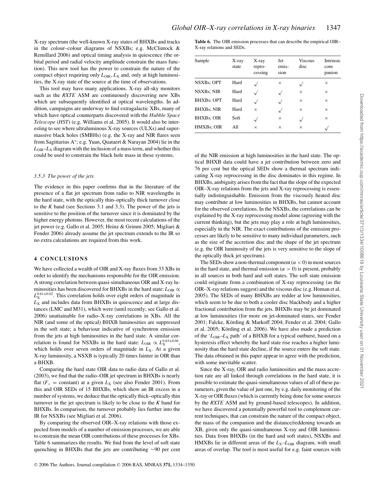X-ray spectrum (the well-known X-ray states of BHXBs and tracks in the colour–colour diagrams of NSXBs; e.g. McClintock & Remillard 2006) and optical timing analysis in quiescence (the orbital period and radial velocity amplitude constrain the mass function). This new tool has the power to constrain the nature of the compact object requiring only  $L_{\text{OIR}}$ ,  $L_X$  and, only at high luminosities, the X-ray state of the source at the time of observations.

This tool may have many applications. X-ray all-sky monitors such as the *RXTE* ASM are continuously discovering new XBs which are subsequently identified at optical wavelengths. In addition, campaigns are underway to find extragalactic XBs, many of which have optical counterparts discovered with the *Hubble Space Telescope* (*HST*) (e.g. Williams et al. 2005). It would also be interesting to see where ultraluminous X-ray sources (ULXs) and supermassive black holes (SMBHs) (e.g. the X-ray and NIR flares seen from Sagittarius A<sup>∗</sup>; e.g. Yuan, Quataert & Narayan 2004) lie in the  $L_{\text{OIR}}-L_{\text{X}}$  diagram with the inclusion of a mass term, and whether this could be used to constrain the black hole mass in these systems.

#### *3.5.3 The power of the jets*

The evidence in this paper confirms that in the literature of the presence of a flat jet spectrum from radio to NIR wavelengths in the hard state, with the optically thin–optically thick turnover close to the *K* band (see Sections 3.1 and 3.3). The power of the jets is sensitive to the position of the turnover since it is dominated by the higher energy photons. However, the most recent calculations of the jet power (e.g. Gallo et al. 2005; Heinz & Grimm 2005; Migliari & Fender 2006) already assume the jet spectrum extends to the IR so no extra calculations are required from this work.

#### **4 CONCLUSIONS**

We have collected a wealth of OIR and X-ray fluxes from 33 XBs in order to identify the mechanisms responsible for the OIR emission. A strong correlation between quasi-simultaneous OIR and X-ray luminosities has been discovered for BHXBs in the hard state:  $L_{\text{OIR}} \propto$  $L_{\rm X}^{0.61 \pm 0.02}$ . This correlation holds over eight orders of magnitude in  $L_X$  and includes data from BHXBs in quiescence and at large distances (LMC and M31), which were (until recently; see Gallo et al. 2006) unattainable for radio–X-ray correlations in XBs. All the NIR (and some of the optical) BHXB luminosities are suppressed in the soft state; a behaviour indicative of synchrotron emission from the jets at high luminosities in the hard state. A similar correlation is found for NSXBs in the hard state:  $L_{\text{OR}} \propto L_{\text{X}}^{0.63 \pm 0.04}$ , which holds over seven orders of magnitude in *L*<sub>X</sub>. At a given X-ray luminosity, a NSXB is typically 20 times fainter in OIR than a BHXB.

Comparing the hard state OIR data to radio data of Gallo et al. (2003), we find that the radio–OIR jet spectrum in BHXBs is nearly flat ( $F_v$  = constant) at a given  $L_X$  (see also Fender 2001). From this and OIR SEDs of 15 BHXBs, which show an IR excess in a number of systems, we deduce that the optically thick–optically thin turnover in the jet spectrum is likely to be close to the *K* band for BHXBs. In comparison, the turnover probably lies further into the IR for NSXBs (see Migliari et al. 2006).

By comparing the observed OIR–X-ray relations with those expected from models of a number of emission processes, we are able to constrain the mean OIR contributions of these processes for XBs. Table 6 summarizes the results. We find from the level of soft state quenching in BHXBs that the jets are contributing ∼90 per cent **Table 6.** The OIR emission processes that can describe the empirical OIR– X-ray relations and SEDs.

| Sample            | X-ray<br>state | X-ray<br>repro-<br>cessing | Jet<br>emis-<br>sion | <b>Viscous</b><br>disc | Intrinsic<br>com<br>panion |
|-------------------|----------------|----------------------------|----------------------|------------------------|----------------------------|
| <b>NSXBs: OPT</b> | Hard           |                            | ×                    | $\checkmark$           | X                          |
| <b>NSXBs: NIR</b> | Hard           |                            |                      | X                      | X                          |
| <b>BHXBs: OPT</b> | Hard           |                            |                      | $\times$               | $\times$                   |
| <b>BHXBs: NIR</b> | Hard           | $\times$                   | $\checkmark$         | $\times$               | X                          |
| <b>BHXBs: OIR</b> | Soft           | $\checkmark$               | $\times$             | $\checkmark$           | $\times$                   |
| HMXBs; OIR        | A11            | $\times$                   | $\times$             | $\times$               |                            |

of the NIR emission at high luminosities in the hard state. The optical BHXB data could have a jet contribution between zero and 76 per cent but the optical SEDs show a thermal spectrum indicating X-ray reprocessing in the disc dominates in this regime. In BHXBs, ambiguity arises from the fact that the slope of the expected OIR–X-ray relations from the jets and X-ray reprocessing is essentially indistinguishable. Emission from the viscously heated disc may contribute at low luminosities in BHXBs, but cannot account for the observed correlations. In the NSXBs, the correlations can be explained by the X-ray reprocessing model alone (agreeing with the current thinking), but the jets may play a role at high luminosities, especially in the NIR. The exact contributions of the emission processes are likely to be sensitive to many individual parameters, such as the size of the accretion disc and the shape of the jet spectrum (e.g. the OIR luminosity of the jets is very sensitive to the slope of the optically thick jet spectrum).

The SEDs show a non-thermal component  $(\alpha < 0)$  in most sources in the hard state, and thermal emission ( $\alpha > 0$ ) is present, probably in all sources in both hard and soft states. The soft state emission could originate from a combination of X-ray reprocessing (as the OIR–X-ray relations suggest) and the viscous disc (e.g. Homan et al. 2005). The SEDs of many BHXBs are redder at low luminosities, which seem to be due to both a cooler disc blackbody and a higher fractional contribution from the jets. BHXBs may be jet dominated at low luminosities (for more on jet-dominated states, see Fender 2001; Falcke, Körding & Markoff 2004; Fender et al. 2004; Gallo et al. 2005; Körding et al. 2006). We have also made a prediction of the 'L<sub>OIR</sub>-L<sub>X</sub> path' of a BHXB for a typical outburst, based on a hysteresis effect whereby the hard state rise reaches a higher luminosity than the hard state decline, if the source enters the soft state. The data obtained in this paper appear to agree with the prediction, with some inevitable scatter.

Since the X-ray, OIR and radio luminosities and the mass accretion rate are all linked through correlations in the hard state, it is possible to estimate the quasi-simultaneous values of all of these parameters, given the value of just one, by e.g. daily monitoring of the X-ray or OIR fluxes (which is currently being done for some sources by the *RXTE* ASM and by ground-based telescopes). In addition, we have discovered a potentially powerful tool to complement current techniques, that can constrain the nature of the compact object, the mass of the companion and the distance/reddening towards an XB, given only the quasi-simultaneous X-ray and OIR luminosities. Data from BHXBs (in the hard and soft states), NSXBs and HMXBs lie in different areas of the  $L_X - L_{\text{OR}}$  diagram, with small areas of overlap. The tool is most useful for e.g. faint sources with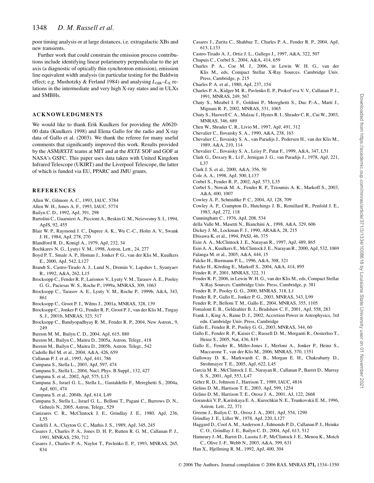poor timing analysis or at large distances, i.e. extragalactic XBs and new transients.

Further work that could constrain the emission process contributions include identifying linear polarimetry perpendicular to the jet axis (a diagnostic of optically thin synchrotron emission), emission line equivalent width analysis (in particular testing for the Baldwin effect; e.g. Mushotzky & Ferland 1984) and analysing  $L_{\text{OR}}-L_X$  relations in the intermediate and very high X-ray states and in ULXs and SMBHs.

#### **ACKNOWLEDGMENTS**

We would like to thank Erik Kuulkers for providing the A0620- 00 data (Kuulkers 1998) and Elena Gallo for the radio and X-ray data of Gallo et al. (2003). We thank the referee for many useful comments that significantly improved this work. Results provided by the ASM/*RXTE* teams at MIT and at the *RXTE* SOF and GOF at NASA's GSFC. This paper uses data taken with United Kingdom Infrared Telescope (UKIRT) and the Liverpool Telescope, the latter of which is funded via EU, PPARC and JMU grants.

#### **REFERENCES**

- Allen W., Gilmore A. C., 1993, IAUC, 5784
- Allen W. H., Jones A. F., 1993, IAUC, 5774
- Bailyn C. D., 1992, ApJ, 391, 298
- Bartolini C., Guarnieri A., Piccioni A., Beskin G. M., Neizvestny S. I., 1994, ApJS, 92, 455
- Blair W. P., Raymond J. C., Dupree A. K., Wu C.-C., Holm A. V., Swank J. H., 1984, ApJ, 278, 270
- Blandford R. D., Konigl A., 1979, ApJ, 232, 34
- Bochkarev N. G., Lyutyi V. M., 1998, Astron. Lett., 24, 277
- Boyd P. T., Smale A. P., Homan J., Jonker P. G., van der Klis M., Kuulkers E., 2000, ApJ, 542, L127
- Brandt S., Castro-Tirado A. J., Lund N., Dremin V., Lapshov I., Syunyaev R., 1992, A&A, 262, L15
- Brocksopp C., Fender R. P., Larionov V., Lyuty V. M., Tarasov A. E., Pooley G. G., Paciesas W. S., Roche P., 1999a, MNRAS, 309, 1063
- Brocksopp C., Tarasov A. E., Lyuty V. M., Roche P., 1999b, A&A, 343, 861
- Brocksopp C., Groot P. J., Wilms J., 2001a, MNRAS, 328, 139
- Brocksopp C., Jonker P. G., Fender R. P., Groot P. J., van der Klis M., Tingay S. J., 2001b, MNRAS, 323, 517
- Brocksopp C., Bandyopadhyay R. M., Fender R. P., 2004, New Astron., 9, 249
- Buxton M. M., Bailyn C. D., 2004, ApJ, 615, 880
- Buxton M., Bailyn C., Maitra D., 2005a, Astron. Telegr., 418
- Buxton M., Bailyn C., Maitra D., 2005b, Astron. Telegr., 542
- Cadolle Bel M. et al., 2004, A&A, 426, 659
- Callanan P. J. et al., 1995, ApJ, 441, 786
- Campana S., Stella L., 2003, ApJ, 597, 474
- Campana S., Stella L., 2004, Nucl. Phys. B Suppl., 132, 427
- Campana S. et al., 2002, ApJ, 575, L15
- Campana S., Israel G. L., Stella L., Gastaldello F., Mereghetti S., 2004a, ApJ, 601, 474
- Campana S. et al., 2004b, ApJ, 614, L49
- Campana S., Stella L., Israel G. L., Belloni T., Pagani C., Burrows D. N., Gehrels N., 2005, Astron. Telegr., 529
- Canizares C. R., McClintock J. E., Grindlay J. E., 1980, ApJ, 236, L55
- Cardelli J. A., Clayton G. C., Mathis J. S., 1989, ApJ, 345, 245
- Casares J., Charles P. A., Jones D. H. P., Rutten R. G. M., Callanan P. J., 1991, MNRAS, 250, 712
- Casares J., Charles P. A., Naylor T., Pavlenko E. P., 1993, MNRAS, 265, 834
- Casares J., Zurita C., Shahbaz T., Charles P. A., Fender R. P., 2004, ApJ, 613, L133
- Castro-Tirado A. J., Ortiz J. L., Gallego J., 1997, A&A, 322, 507
- Chapuis C., Corbel S., 2004, A&A, 414, 659
- Charles P. A., Coe M. J., 2006, in Lewin W. H. G., van der Klis M., eds, Compact Stellar X-Ray Sources. Cambridge Univ. Press, Cambridge, p. 215
- Charles P. A. et al., 1980, ApJ, 237, 154
- Charles P. A., Kidger M. R., Pavlenko E. P., Prokof'eva V. V., Callanan P. J., 1991, MNRAS, 249, 567
- Chaty S., Mirabel I. F., Goldoni P., Mereghetti S., Duc P.-A., Martí J., Mignani R. P., 2002, MNRAS, 331, 1065
- Chaty S., Haswell C. A., Malzac J., Hynes R. I., Shrader C. R., Cui W., 2003, MNRAS, 346, 689
- Chen W., Shrader C. R., Livio M., 1997, ApJ, 491, 312
- Chevalier C., Ilovaisky S. A., 1990, A&A, 238, 163
- Chevalier C., Ilovaisky S. A., van Paradijs J., Pedersen H., van der Klis M., 1989, A&A, 210, 114
- Chevalier C., Ilovaisky S. A., Leisy P., Patat F., 1999, A&A, 347, L51
- Clark G., Doxsey R., Li F., Jernigan J. G., van Paradijs J., 1978, ApJ, 221, L37
- Clark J. S. et al., 2000, A&A, 356, 50
- Cole A. A., 1998, ApJ, 500, L137
- Corbel S., Fender R. P., 2002, ApJ, 573, L35
- Corbel S., Nowak M. A., Fender R. P., Tzioumis A. K., Markoff S., 2003, A&A, 400, 1007
- Cowley A. P., Schmidtke P. C., 2004, AJ, 128, 709
- Cowley A. P., Crampton D., Hutchings J. B., Remillard R., Penfold J. E., 1983, ApJ, 272, 118
- Cunningham C., 1976, ApJ, 208, 534
- della Valle M., Masetti N., Bianchini A., 1998, A&A, 329, 606
- Dickey J. M., Lockman F. J., 1990, ARA&A, 28, 215
- Ebisawa K. et al., 1994, PASJ, 46, 375
- Esin A. A., McClintock J. E., Narayan R., 1997, ApJ, 489, 865
- Esin A. A., Kuulkers E., McClintock J. E., Narayan R., 2000, ApJ, 532, 1069
- Falanga M. et al., 2005, A&A, 444, 15
- Falcke H., Biermann P. L., 1996, A&A, 308, 321
- Falcke H., Körding E., Markoff S., 2004, A&A, 414, 895
- Fender R. P., 2001, MNRAS, 322, 31
- Fender R. P., 2006, in Lewin W. H. G., van der Klis M., eds, Compact Stellar X-Ray Sources. Cambridge Univ. Press, Cambridge, p. 381
- Fender R. P., Pooley G. G., 2000, MNRAS, 318, L1
- Fender R. P., Gallo E., Jonker P. G., 2003, MNRAS, 343, L99
- Fender R. P., Belloni T. M., Gallo E., 2004, MNRAS, 355, 1105
- Fomalont E. B., Geldzahler B. J., Bradshaw C. F., 2001, ApJ, 558, 283 Frank J., King A., Raine D. J., 2002, Accretion Power in Astrophysics, 3rd edn. Cambridge Univ. Press, Cambridge
- Gallo E., Fender R. P., Pooley G. G., 2003, MNRAS, 344, 60
- Gallo E., Fender R. P., Kaiser C., Russell D. M., Morganti R., Oosterloo T., Heinz S., 2005, Nat, 436, 819
- Gallo E., Fender R., Miller-Jones J., Merloni A., Jonker P., Heinz S., Maccarone T., van der Klis M., 2006, MNRAS, 370, 1351
- Galloway D. K., Markwardt C. B., Morgan E. H., Chakrabarty D., Strohmayer T. E., 2005, ApJ, 622, L45
- Garcia M. R., McClintock J. E., Narayan R., Callanan P., Barret D., Murray S. S., 2001, ApJ, 553, L47
- Gehrz R. D., Johnson J., Harrison T., 1989, IAUC, 4816
- Gelino D. M., Harrison T. E., 2003, ApJ, 599, 1254
- Gelino D. M., Harrison T. E., Orosz J. A., 2001, AJ, 122, 2668
- Goranskii V. P., Karitskaya E. A., Kurochkin N. E., Trunkovskii E. M., 1996, Astron. Lett., 22, 371
- Greene J., Bailyn C. D., Orosz J. A., 2001, ApJ, 554, 1290
- Grindlay J. E., Liller W., 1978, ApJ, 220, L127
- Haggard D., Cool A. M., Anderson J., Edmonds P. D., Callanan P. J., Heinke C. O., Grindlay J. E., Bailyn C. D., 2004, ApJ, 613, 512
- Hameury J.-M., Barret D., Lasota J.-P., McClintock J. E., Menou K., Motch C., Olive J.-F., Webb N., 2003, A&A, 399, 631
- Han X., Hjellming R. M., 1992, ApJ, 400, 304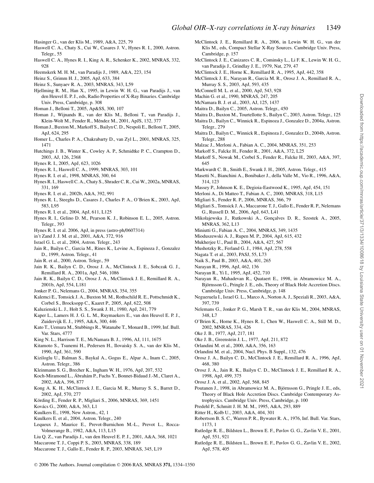- Hasinger G., van der Klis M., 1989, A&A, 225, 79
- Haswell C. A., Chaty S., Cui W., Casares J. V., Hynes R. I., 2000, Astron. Telegr., 55
- Haswell C. A., Hynes R. I., King A. R., Schenker K., 2002, MNRAS, 332, 928
- Heemskerk M. H. M., van Paradijs J., 1989, A&A, 223, 154
- Heinz S., Grimm H. J., 2005, ApJ, 633, 384
- Heinz S., Sunyaev R. A., 2003, MNRAS, 343, L59
- Hjellming R. M., Han X., 1995, in Lewin W. H. G., van Paradijs J., van den Heuvel E. P. J., eds, Radio Properties of X-Ray Binaries. Cambridge Univ. Press, Cambridge, p. 308
- Homan J., Belloni T., 2005, Ap&SS, 300, 107
- Homan J., Wijnands R., van der Klis M., Belloni T., van Paradijs J., Klein-Wolt M., Fender R., Méndez M., 2001, ApJS, 132, 377
- Homan J., Buxton M., Markoff S., Bailyn C. D., Nespoli E., Belloni T., 2005, ApJ, 624, 295
- Homer L., Charles P. A., Chakrabarty D., van Zyl L., 2001, MNRAS, 325, 1471
- Hutchings J. B., Winter K., Cowley A. P., Schmidtke P. C., Crampton D., 2003, AJ, 126, 2368
- Hynes R. I., 2005, ApJ, 623, 1026
- Hynes R. I., Haswell C. A., 1999, MNRAS, 303, 101
- Hynes R. I. et al., 1998, MNRAS, 300, 64
- Hynes R. I., Haswell C. A., Chaty S., Shrader C. R., Cui W., 2002a, MNRAS, 331, 169
- Hynes R. I. et al., 2002b, A&A, 392, 991
- Hynes R. I., Steeghs D., Casares J., Charles P. A., O'Brien K., 2003, ApJ, 583, L95
- Hynes R. I. et al., 2004, ApJ, 611, L125
- Hynes R. I., Gelino D. M., Pearson K. J., Robinson E. L., 2005, Astron. Telegr., 393
- Hynes R. I. et al. 2006, ApJ, in press (astro-ph/0607314)
- in't Zand J. J. M. et al., 2001, A&A, 372, 916
- Israel G. L. et al., 2004, Astron. Telegr., 243
- Jain R., Bailyn C., Garcia M., Rines K., Levine A., Espinoza J., Gonzalez D., 1999, Astron. Telegr., 41
- Jain R. et al., 2000, Astron. Telegr., 59
- Jain R. K., Bailyn C. D., Orosz J. A., McClintock J. E., Sobczak G. J., Remillard R. A., 2001a, ApJ, 546, 1086
- Jain R. K., Bailyn C. D., Orosz J. A., McClintock J. E., Remillard R. A., 2001b, ApJ, 554, L181
- Jonker P. G., Nelemans G., 2004, MNRAS, 354, 355
- Kalemci E., Tomsick J. A., Buxton M. M., Rothschild R. E., Pottschmidt K., Corbel S., Brocksopp C., Kaaret P., 2005, ApJ, 622, 508
- Kaluzienski L. J., Holt S. S., Swank J. H., 1980, ApJ, 241, 779
- Kaper L., Lamers H. J. G. L. M., Ruymaekers E., van den Heuvel E. P. J., Zuidervijk E. J., 1995, A&A, 300, 446
- Kato T., Uemura M., Stubbings R., Watanabe T., Monard B., 1999, Inf. Bull. Var. Stars, 4777
- King N. L., Harrison T. E., McNamara B. J., 1996, AJ, 111, 1675
- Kitamoto S., Tsunemi H., Pedersen H., Ilovaisky S. A., van der Klis M., 1990, ApJ, 361, 590
- Kiziloglu U., Balman S., Baykal A., Gogus E., Alpar A., Inam C., 2005, Astron. Telegr., 386
- Kleinmann S. G., Brecher K., Ingham W. H., 1976, ApJ, 207, 532
- Koch-Miramond L., Ábrahám P., Fuchs Y., Bonnet-Bidaud J.-M., Claret A., 2002, A&A, 396, 877
- Kong A. K. H., McClintock J. E., Garcia M. R., Murray S. S., Barret D., 2002, ApJ, 570, 277
- Körding E., Fender R. P., Migliari S., 2006, MNRAS, 369, 1451
- Kovács G., 2000, A&A, 363, L1
- Kuulkers E., 1998, New Astron., 42, 1
- Kuulkers E. et al., 2004, Astron. Telegr., 240
- Lequeux J., Maurice E., Prevot-Burnichon M.-L., Prevot L., Rocca-Volmerange B., 1982, A&A, 113, L15
- Liu Q. Z., van Paradijs J., van den Heuvel E. P. J., 2001, A&A, 368, 1021
- Maccarone T. J., Coppi P. S., 2003, MNRAS, 338, 189
- Maccarone T. J., Gallo E., Fender R. P., 2003, MNRAS, 345, L19
- McClintock J. E., Remillard R. A., 2006, in Lewin W. H. G., van der Klis M., eds, Compact Stellar X-Ray Sources. Cambridge Univ. Press, Cambridge, p. 157
- McClintock J. E., Canizares C. R., Cominsky L., Li F. K., Lewin W. H. G., van Paradijs J., Grindlay J. E., 1979, Nat, 279, 47
- McClintock J. E., Horne K., Remillard R. A., 1995, ApJ, 442, 358
- McClintock J. E., Narayan R., Garcia M. R., Orosz J. A., Remillard R. A., Murray S. S., 2003, ApJ, 593, 435
- McConnell M. L. et al., 2000, ApJ, 543, 928
- Machin G. et al., 1990, MNRAS, 247, 205
- McNamara B. J. et al., 2003, AJ, 125, 1437
- Maitra D., Bailyn C., 2005, Astron. Telegr., 450
- Maitra D., Buxton M., Tourtellotte S., Bailyn C., 2003, Astron. Telegr., 125 Maitra D., Bailyn C., Winnick R., Espinoza J., Gonzalez D., 2004a, Astron. Telegr., 279
- Maitra D., Bailyn C., Winnick R., Espinoza J., Gonzalez D., 2004b, Astron. Telegr., 288
- Malzac J., Merloni A., Fabian A. C., 2004, MNRAS, 351, 253
- Markoff S., Falcke H., Fender R., 2001, A&A, 372, L25
- Markoff S., Nowak M., Corbel S., Fender R., Falcke H., 2003, A&A, 397, 645
- Markwardt C. B., Smith E., Swank J. H., 2005, Astron. Telegr., 415
- Masetti N., Bianchini A., Bonibaker J., della Valle M., Vio R., 1996, A&A, 314, 123
- Massey P., Johnson K. E., Degioia-Eastwood K., 1995, ApJ, 454, 151
- Merloni A., Di Matteo T., Fabian A. C., 2000, MNRAS, 318, L15
- Migliari S., Fender R. P., 2006, MNRAS, 366, 79
- Migliari S., Tomsick J. A., Maccarone T. J., Gallo E., Fender R. P., Nelemans G., Russell D. M., 2006, ApJ, 643, L41
- Mikołajewska J., Rutkowski A., Gonçalves D. R., Szostek A., 2005, MNRAS, 362, L13
- Miniutti G., Fabian A. C., 2004, MNRAS, 349, 1435
- Mioduszewski A. J., Rupen M. P., 2004, ApJ, 615, 432
- Mukherjee U., Paul B., 2004, A&A, 427, 567
- Mushotzky R., Ferland G. J., 1984, ApJ, 278, 558
- Nagata T. et al., 2003, PASJ, 55, L73
- Naik S., Paul B., 2003, A&A, 401, 265
- Narayan R., 1996, ApJ, 462, 136
- Narayan R., Yi I., 1995, ApJ, 452, 710
- Narayan R., Mahadevan R., Quataert E., 1998, in Abramowicz M. A., Björnsson G., Pringle J. E., eds, Theory of Black Hole Accretion Discs. Cambridge Univ. Press, Cambridge, p. 148
- Negueruela I., Israel G. L., Marco A., Norton A. J., Speziali R., 2003, A&A, 397, 739
- Nelemans G., Jonker P. G., Marsh T. R., van der Klis M., 2004, MNRAS, 348, L7
- O'Brien K., Horne K., Hynes R. I., Chen W., Haswell C. A., Still M. D., 2002, MNRAS, 334, 426
- Oke J. B., 1977, ApJ, 217, 181
- Oke J. B., Greenstein J. L., 1977, ApJ, 211, 872
- Orlandini M. et al., 2000, A&A, 356, 163
- Orlandini M. et al., 2004, Nucl. Phys. B Suppl., 132, 476
- Orosz J. A., Bailyn C. D., McClintock J. E., Remillard R. A., 1996, ApJ, 468, 380
- Orosz J. A., Jain R. K., Bailyn C. D., McClintock J. E., Remillard R. A., 1998, ApJ, 499, 375
- Orosz J. A. et al., 2002, ApJ, 568, 845
- Poutanen J., 1998, in Abramowicz M. A., Björnsson G., Pringle J. E., eds, Theory of Black Hole Accretion Discs. Cambridge Contemporary Astrophysics. Cambridge Univ. Press, Cambridge, p. 100
- Predehl P., Schmitt J. H. M. M., 1995, A&A, 293, 889
- Ritter H., Kolb U., 2003, A&A, 404, 301
- Robertson B. S. C., Warren P. R., Bywater R. A., 1976, Inf. Bull. Var. Stars, 1173, 1
- Rutledge R. E., Bildsten L., Brown E. F., Pavlov G. G., Zavlin V. E., 2001, ApJ, 551, 921
- Rutledge R. E., Bildsten L., Brown E. F., Pavlov G. G., Zavlin V. E., 2002, ApJ, 578, 405